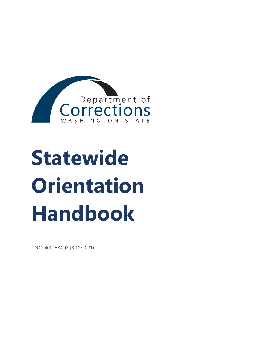<span id="page-0-0"></span>

# **Statewide Orientation Handbook**

DOC 400-HA002 (R.10/2021)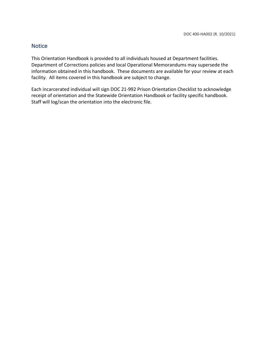## **Notice**

This Orientation Handbook is provided to all individuals housed at Department facilities. Department of Corrections policies and local Operational Memorandums may supersede the information obtained in this handbook. These documents are available for your review at each facility. All items covered in this handbook are subject to change.

Each incarcerated individual will sign DOC 21-992 Prison Orientation Checklist to acknowledge receipt of orientation and the Statewide Orientation Handbook or facility specific handbook. Staff will log/scan the orientation into the electronic file.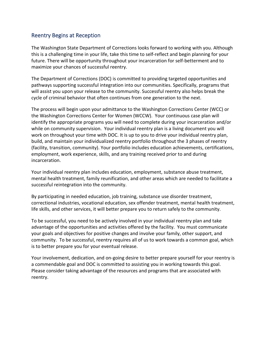## <span id="page-2-0"></span>Reentry Begins at Reception

The Washington State Department of Corrections looks forward to working with you. Although this is a challenging time in your life, take this time to self-reflect and begin planning for your future. There will be opportunity throughout your incarceration for self-betterment and to maximize your chances of successful reentry.

The Department of Corrections (DOC) is committed to providing targeted opportunities and pathways supporting successful integration into our communities. Specifically, programs that will assist you upon your release to the community. Successful reentry also helps break the cycle of criminal behavior that often continues from one generation to the next.

The process will begin upon your admittance to the Washington Corrections Center (WCC) or the Washington Corrections Center for Women (WCCW). Your continuous case plan will identify the appropriate programs you will need to complete during your incarceration and/or while on community supervision. Your individual reentry plan is a living document you will work on throughout your time with DOC. It is up to you to drive your individual reentry plan, build, and maintain your individualized reentry portfolio throughout the 3 phases of reentry (facility, transition, community). Your portfolio includes education achievements, certifications, employment, work experience, skills, and any training received prior to and during incarceration.

Your individual reentry plan includes education, employment, substance abuse treatment, mental health treatment, family reunification, and other areas which are needed to facilitate a successful reintegration into the community.

By participating in needed education, job training, substance use disorder treatment, correctional industries, vocational education, sex offender treatment, mental health treatment, life skills, and other services, it will better prepare you to return safely to the community.

To be successful, you need to be actively involved in your individual reentry plan and take advantage of the opportunities and activities offered by the facility. You must communicate your goals and objectives for positive changes and involve your family, other support, and community. To be successful, reentry requires all of us to work towards a common goal, which is to better prepare you for your eventual release.

Your involvement, dedication, and on-going desire to better prepare yourself for your reentry is a commendable goal and DOC is committed to assisting you in working towards this goal. Please consider taking advantage of the resources and programs that are associated with reentry.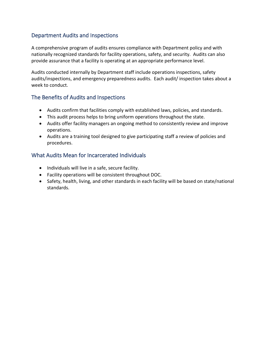# <span id="page-3-0"></span>Department Audits and Inspections

A comprehensive program of audits ensures compliance with Department policy and with nationally recognized standards for facility operations, safety, and security. Audits can also provide assurance that a facility is operating at an appropriate performance level.

Audits conducted internally by Department staff include operations inspections, safety audits/inspections, and emergency preparedness audits. Each audit/ inspection takes about a week to conduct.

# <span id="page-3-1"></span>The Benefits of Audits and Inspections

- Audits confirm that facilities comply with established laws, policies, and standards.
- This audit process helps to bring uniform operations throughout the state.
- Audits offer facility managers an ongoing method to consistently review and improve operations.
- Audits are a training tool designed to give participating staff a review of policies and procedures.

# <span id="page-3-2"></span>What Audits Mean for Incarcerated Individuals

- Individuals will live in a safe, secure facility.
- Facility operations will be consistent throughout DOC.
- Safety, health, living, and other standards in each facility will be based on state/national standards.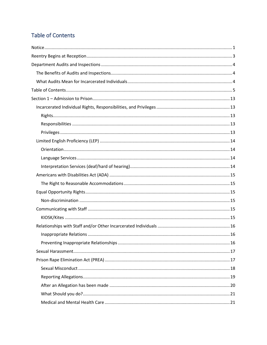# <span id="page-4-0"></span>Table of Contents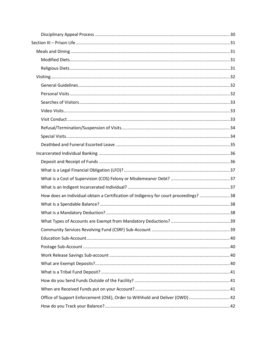| How does an Individual obtain a Certification of Indigency for court proceedings? 38 |  |
|--------------------------------------------------------------------------------------|--|
|                                                                                      |  |
|                                                                                      |  |
|                                                                                      |  |
|                                                                                      |  |
|                                                                                      |  |
|                                                                                      |  |
|                                                                                      |  |
|                                                                                      |  |
|                                                                                      |  |
|                                                                                      |  |
|                                                                                      |  |
| Office of Support Enforcement (OSE), Order to Withhold and Deliver (OWD)  42         |  |
|                                                                                      |  |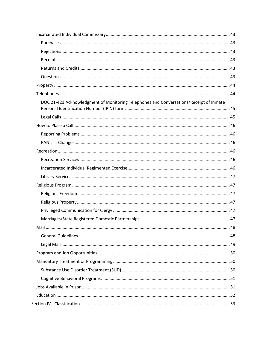| DOC 21-421 Acknowledgment of Monitoring Telephones and Conversations/Receipt of Inmate |  |
|----------------------------------------------------------------------------------------|--|
|                                                                                        |  |
|                                                                                        |  |
|                                                                                        |  |
|                                                                                        |  |
|                                                                                        |  |
|                                                                                        |  |
|                                                                                        |  |
|                                                                                        |  |
|                                                                                        |  |
|                                                                                        |  |
|                                                                                        |  |
|                                                                                        |  |
|                                                                                        |  |
|                                                                                        |  |
|                                                                                        |  |
|                                                                                        |  |
|                                                                                        |  |
|                                                                                        |  |
|                                                                                        |  |
|                                                                                        |  |
|                                                                                        |  |
|                                                                                        |  |
|                                                                                        |  |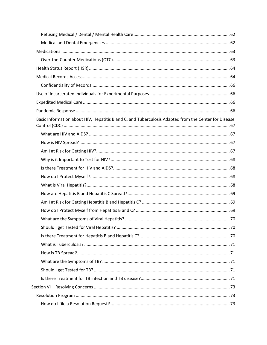| Basic Information about HIV, Hepatitis B and C, and Tuberculosis Adapted from the Center for Disease |  |
|------------------------------------------------------------------------------------------------------|--|
|                                                                                                      |  |
|                                                                                                      |  |
|                                                                                                      |  |
|                                                                                                      |  |
|                                                                                                      |  |
|                                                                                                      |  |
|                                                                                                      |  |
|                                                                                                      |  |
|                                                                                                      |  |
|                                                                                                      |  |
|                                                                                                      |  |
|                                                                                                      |  |
|                                                                                                      |  |
|                                                                                                      |  |
|                                                                                                      |  |
|                                                                                                      |  |
|                                                                                                      |  |
|                                                                                                      |  |
|                                                                                                      |  |
|                                                                                                      |  |
|                                                                                                      |  |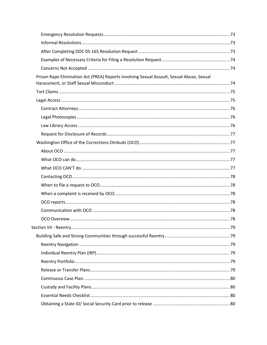| Prison Rape Elimination Act (PREA) Reports Involving Sexual Assault, Sexual Abuse, Sexual |  |
|-------------------------------------------------------------------------------------------|--|
|                                                                                           |  |
|                                                                                           |  |
|                                                                                           |  |
|                                                                                           |  |
|                                                                                           |  |
|                                                                                           |  |
|                                                                                           |  |
|                                                                                           |  |
|                                                                                           |  |
|                                                                                           |  |
|                                                                                           |  |
|                                                                                           |  |
|                                                                                           |  |
|                                                                                           |  |
|                                                                                           |  |
|                                                                                           |  |
|                                                                                           |  |
|                                                                                           |  |
|                                                                                           |  |
|                                                                                           |  |
|                                                                                           |  |
|                                                                                           |  |
|                                                                                           |  |
|                                                                                           |  |
|                                                                                           |  |
|                                                                                           |  |
|                                                                                           |  |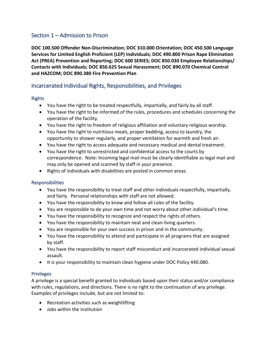# <span id="page-12-0"></span>Section 1 – Admission to Prison

**DOC 100.500 Offender Non-Discrimination; DOC 310.000 Orientation; DOC 450.500 Language Services for Limited English Proficient (LEP) Individuals; DOC 490.800 Prison Rape Elimination Act (PREA) Prevention and Reporting; DOC 600 SERIES; DOC 850.030 Employee Relationships/ Contacts with Individuals; DOC 850.625 Sexual Harassment; DOC 890.070 Chemical Control and HAZCOM; DOC 890.380 Fire Prevention Plan** 

# <span id="page-12-1"></span>Incarcerated Individual Rights, Responsibilities, and Privileges

## <span id="page-12-2"></span>Rights

- You have the right to be treated respectfully, impartially, and fairly by all staff.
- You have the right to be informed of the rules, procedures and schedules concerning the operation of the facility.
- You have the right to freedom of religious affiliation and voluntary religious worship.
- You have the right to nutritious meals, proper bedding, access to laundry, the opportunity to shower regularly, and proper ventilation for warmth and fresh air.
- You have the right to access adequate and necessary medical and dental treatment.
- You have the right to unrestricted and confidential access to the courts by correspondence. Note: Incoming legal mail must be clearly identifiable as legal mail and may only be opened and scanned by staff in your presence.
- Rights of individuals with disabilities are posted in common areas.

## <span id="page-12-3"></span>Responsibilities

- You have the responsibility to treat staff and other individuals respectfully, impartially, and fairly. Personal relationships with staff are not allowed.
- You have the responsibility to know and follow all rules of the facility.
- You are responsible to do your own time and not worry about other individual's time.
- You have the responsibility to recognize and respect the rights of others.
- You have the responsibility to maintain neat and clean-living quarters.
- You are responsible for your own success in prison and in the community.
- You have the responsibility to attend and participate in all programs that are assigned by staff.
- You have the responsibility to report staff misconduct and incarcerated individual sexual assault.
- It is your responsibility to maintain clean hygiene under DOC Policy 440.080.

## <span id="page-12-4"></span>**Privileges**

A privilege is a special benefit granted to individuals based upon their status and/or compliance with rules, regulations, and directions. There is no right to the continuation of any privilege. Examples of privileges include, but are not limited to:

- Recreation activities such as weightlifting
- Jobs within the institution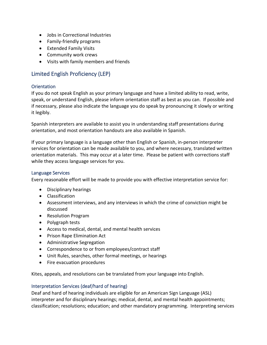- Jobs in Correctional Industries
- Family-friendly programs
- Extended Family Visits
- Community work crews
- Visits with family members and friends

# <span id="page-13-0"></span>Limited English Proficiency (LEP)

## <span id="page-13-1"></span>**Orientation**

If you do not speak English as your primary language and have a limited ability to read, write, speak, or understand English, please inform orientation staff as best as you can. If possible and if necessary, please also indicate the language you do speak by pronouncing it slowly or writing it legibly.

Spanish interpreters are available to assist you in understanding staff presentations during orientation, and most orientation handouts are also available in Spanish.

If your primary language is a language other than English or Spanish, in-person interpreter services for orientation can be made available to you, and where necessary, translated written orientation materials. This may occur at a later time. Please be patient with corrections staff while they access language services for you.

## <span id="page-13-2"></span>Language Services

Every reasonable effort will be made to provide you with effective interpretation service for:

- Disciplinary hearings
- Classification
- Assessment interviews, and any interviews in which the crime of conviction might be discussed
- Resolution Program
- Polygraph tests
- Access to medical, dental, and mental health services
- Prison Rape Elimination Act
- Administrative Segregation
- Correspondence to or from employees/contract staff
- Unit Rules, searches, other formal meetings, or hearings
- Fire evacuation procedures

Kites, appeals, and resolutions can be translated from your language into English.

#### <span id="page-13-3"></span>Interpretation Services (deaf/hard of hearing)

Deaf and hard of hearing individuals are eligible for an American Sign Language (ASL) interpreter and for disciplinary hearings; medical, dental, and mental health appointments; classification; resolutions; education; and other mandatory programming. Interpreting services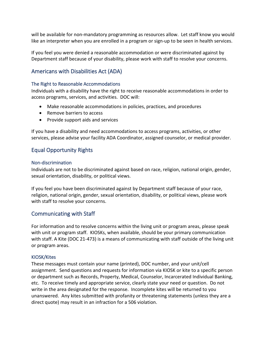will be available for non-mandatory programming as resources allow. Let staff know you would like an interpreter when you are enrolled in a program or sign-up to be seen in health services.

If you feel you were denied a reasonable accommodation or were discriminated against by Department staff because of your disability, please work with staff to resolve your concerns.

# <span id="page-14-0"></span>Americans with Disabilities Act (ADA)

## <span id="page-14-1"></span>The Right to Reasonable Accommodations

Individuals with a disability have the right to receive reasonable accommodations in order to access programs, services, and activities. DOC will:

- Make reasonable accommodations in policies, practices, and procedures
- Remove barriers to access
- Provide support aids and services

If you have a disability and need accommodations to access programs, activities, or other services, please advise your facility ADA Coordinator, assigned counselor, or medical provider.

# <span id="page-14-2"></span>Equal Opportunity Rights

## <span id="page-14-3"></span>Non-discrimination

Individuals are not to be discriminated against based on race, religion, national origin, gender, sexual orientation, disability, or political views.

If you feel you have been discriminated against by Department staff because of your race, religion, national origin, gender, sexual orientation, disability, or political views, please work with staff to resolve your concerns.

# <span id="page-14-4"></span>Communicating with Staff

For information and to resolve concerns within the living unit or program areas, please speak with unit or program staff. KIOSKs, when available, should be your primary communication with staff. A Kite (DOC 21-473) is a means of communicating with staff outside of the living unit or program areas.

## <span id="page-14-5"></span>KIOSK/Kites

These messages must contain your name (printed), DOC number, and your unit/cell assignment. Send questions and requests for information via KIOSK or kite to a specific person or department such as Records, Property, Medical, Counselor, Incarcerated Individual Banking, etc. To receive timely and appropriate service, clearly state your need or question. Do not write in the area designated for the response. Incomplete kites will be returned to you unanswered. Any kites submitted with profanity or threatening statements (unless they are a direct quote) may result in an infraction for a 506 violation.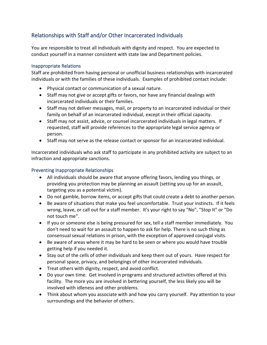# <span id="page-15-0"></span>Relationships with Staff and/or Other Incarcerated Individuals

You are responsible to treat all individuals with dignity and respect. You are expected to conduct yourself in a manner consistent with state law and Department policies.

#### <span id="page-15-1"></span>Inappropriate Relations

Staff are prohibited from having personal or unofficial business relationships with incarcerated individuals or with the families of these individuals. Examples of prohibited contact include:

- Physical contact or communication of a sexual nature.
- Staff may not give or accept gifts or favors, nor have any financial dealings with incarcerated individuals or their families.
- Staff may not deliver messages, mail, or property to an incarcerated individual or their family on behalf of an incarcerated individual, except in their official capacity.
- Staff may not assist, advice, or counsel incarcerated individuals in legal matters. If requested, staff will provide references to the appropriate legal service agency or person.
- Staff may not serve as the release contact or sponsor for an incarcerated individual.

Incarcerated individuals who ask staff to participate in any prohibited activity are subject to an infraction and appropriate sanctions.

## <span id="page-15-2"></span>Preventing Inappropriate Relationships

- All individuals should be aware that anyone offering favors, lending you things, or providing you protection may be planning an assault (setting you up for an assault, targeting you as a potential victim).
- Do not gamble, borrow items, or accept gifts that could create a debt to another person.
- Be aware of situations that make you feel uncomfortable. Trust your instincts. If it feels wrong, leave, or call out for a staff member. It's your right to say "No", "Stop It" or "Do not touch me".
- If you or someone else is being pressured for sex, tell a staff member immediately. You don't need to wait for an assault to happen to ask for help. There is no such thing as consensual sexual relations in prison, with the exception of approved conjugal visits.
- Be aware of areas where it may be hard to be seen or where you would have trouble getting help if you needed it.
- Stay out of the cells of other individuals and keep them out of yours. Have respect for personal space, privacy, and belongings of other incarcerated individuals.
- Treat others with dignity, respect, and avoid conflict.
- Do your own time. Get involved in programs and structured activities offered at this facility. The more you are involved in bettering yourself, the less likely you will be involved with idleness and other problems.
- Think about whom you associate with and how you carry yourself. Pay attention to your surroundings and the behavior of others.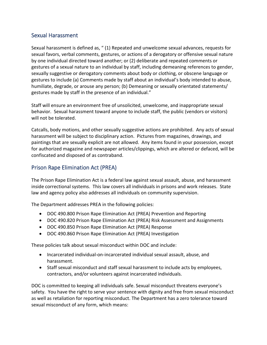# <span id="page-16-0"></span>Sexual Harassment

Sexual harassment is defined as, " (1) Repeated and unwelcome sexual advances, requests for sexual favors, verbal comments, gestures, or actions of a derogatory or offensive sexual nature by one individual directed toward another; or (2) deliberate and repeated comments or gestures of a sexual nature to an individual by staff, including demeaning references to gender, sexually suggestive or derogatory comments about body or clothing, or obscene language or gestures to include (a) Comments made by staff about an individual's body intended to abuse, humiliate, degrade, or arouse any person; (b) Demeaning or sexually orientated statements/ gestures made by staff in the presence of an individual."

Staff will ensure an environment free of unsolicited, unwelcome, and inappropriate sexual behavior. Sexual harassment toward anyone to include staff, the public (vendors or visitors) will not be tolerated.

Catcalls, body motions, and other sexually suggestive actions are prohibited. Any acts of sexual harassment will be subject to disciplinary action. Pictures from magazines, drawings, and paintings that are sexually explicit are not allowed. Any items found in your possession, except for authorized magazine and newspaper articles/clippings, which are altered or defaced, will be confiscated and disposed of as contraband.

# <span id="page-16-1"></span>Prison Rape Elimination Act (PREA)

The Prison Rape Elimination Act is a federal law against sexual assault, abuse, and harassment inside correctional systems. This law covers all individuals in prisons and work releases. State law and agency policy also addresses all individuals on community supervision.

The Department addresses PREA in the following policies:

- DOC 490.800 Prison Rape Elimination Act (PREA) Prevention and Reporting
- DOC 490.820 Prison Rape Elimination Act (PREA) Risk Assessment and Assignments
- DOC 490.850 Prison Rape Elimination Act (PREA) Response
- DOC 490.860 Prison Rape Elimination Act (PREA) Investigation

These policies talk about sexual misconduct within DOC and include:

- Incarcerated individual-on-incarcerated individual sexual assault, abuse, and harassment.
- Staff sexual misconduct and staff sexual harassment to include acts by employees, contractors, and/or volunteers against incarcerated individuals.

DOC is committed to keeping all individuals safe. Sexual misconduct threatens everyone's safety. You have the right to serve your sentence with dignity and free from sexual misconduct as well as retaliation for reporting misconduct. The Department has a zero tolerance toward sexual misconduct of any form, which means: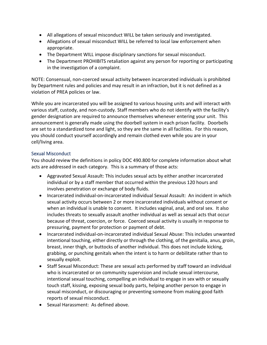- All allegations of sexual misconduct WILL be taken seriously and investigated.
- Allegations of sexual misconduct WILL be referred to local law enforcement when appropriate.
- The Department WILL impose disciplinary sanctions for sexual misconduct.
- The Department PROHIBITS retaliation against any person for reporting or participating in the investigation of a complaint.

NOTE: Consensual, non-coerced sexual activity between incarcerated individuals is prohibited by Department rules and policies and may result in an infraction, but it is not defined as a violation of PREA policies or law.

While you are incarcerated you will be assigned to various housing units and will interact with various staff, custody, and non-custody. Staff members who do not identify with the facility's gender designation are required to announce themselves whenever entering your unit. This announcement is generally made using the doorbell system in each prison facility. Doorbells are set to a standardized tone and light, so they are the same in all facilities. For this reason, you should conduct yourself accordingly and remain clothed even while you are in your cell/living area.

## <span id="page-17-0"></span>Sexual Misconduct

You should review the definitions in policy DOC 490.800 for complete information about what acts are addressed in each category. This is a summary of those acts:

- Aggravated Sexual Assault: This includes sexual acts by either another incarcerated individual or by a staff member that occurred within the previous 120 hours and involves penetration or exchange of body fluids.
- Incarcerated individual-on-incarcerated individual Sexual Assault: An incident in which sexual activity occurs between 2 or more incarcerated individuals without consent or when an individual is unable to consent. It includes vaginal, anal, and oral sex. It also includes threats to sexually assault another individual as well as sexual acts that occur because of threat, coercion, or force. Coerced sexual activity is usually in response to pressuring, payment for protection or payment of debt.
- Incarcerated individual-on-incarcerated individual Sexual Abuse: This includes unwanted intentional touching, either directly or through the clothing, of the genitalia, anus, groin, breast, inner thigh, or buttocks of another individual. This does not include kicking, grabbing, or punching genitals when the intent is to harm or debilitate rather than to sexually exploit.
- Staff Sexual Misconduct: These are sexual acts performed by staff toward an individual who is incarcerated or on community supervision and include sexual intercourse, intentional sexual touching, compelling an individual to engage in sex with or sexually touch staff, kissing, exposing sexual body parts, helping another person to engage in sexual misconduct, or discouraging or preventing someone from making good faith reports of sexual misconduct.
- Sexual Harassment: As defined above.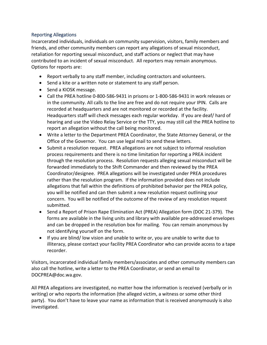## <span id="page-18-0"></span>Reporting Allegations

Incarcerated individuals, individuals on community supervision, visitors, family members and friends, and other community members can report any allegations of sexual misconduct, retaliation for reporting sexual misconduct, and staff actions or neglect that may have contributed to an incident of sexual misconduct. All reporters may remain anonymous. Options for reports are:

- Report verbally to any staff member, including contractors and volunteers.
- Send a kite or a written note or statement to any staff person.
- Send a KIOSK message.
- Call the PREA hotline 0-800-586-9431 in prisons or 1-800-586-9431 in work releases or in the community. All calls to the line are free and do not require your IPIN. Calls are recorded at headquarters and are not monitored or recorded at the facility. Headquarters staff will check messages each regular workday. If you are deaf/ hard of hearing and use the Video Relay Service or the TTY, you may still call the PREA hotline to report an allegation without the call being monitored.
- Write a letter to the Department PREA Coordinator, the State Attorney General, or the Office of the Governor. You can use legal mail to send these letters.
- Submit a resolution request. PREA allegations are not subject to informal resolution process requirements and there is no time limitation for reporting a PREA incident through the resolution process. Resolution requests alleging sexual misconduct will be forwarded immediately to the Shift Commander and then reviewed by the PREA Coordinator/designee. PREA allegations will be investigated under PREA procedures rather than the resolution program. If the information provided does not include allegations that fall within the definitions of prohibited behavior per the PREA policy, you will be notified and can then submit a new resolution request outlining your concern. You will be notified of the outcome of the review of any resolution request submitted.
- Send a Report of Prison Rape Elimination Act (PREA) Allegation form (DOC 21-379). The forms are available in the living units and library with available pre-addressed envelopes and can be dropped in the resolution box for mailing. You can remain anonymous by not identifying yourself on the form.
- If you are blind/ low vision and unable to write or, you are unable to write due to illiteracy, please contact your facility PREA Coordinator who can provide access to a tape recorder.

Visitors, incarcerated individual family members/associates and other community members can also call the hotline, write a letter to the PREA Coordinator, or send an email to DOCPREA@doc.wa.gov.

All PREA allegations are investigated, no matter how the information is received (verbally or in writing) or who reports the information (the alleged victim, a witness or some other third party). You don't have to leave your name as information that is received anonymously is also investigated.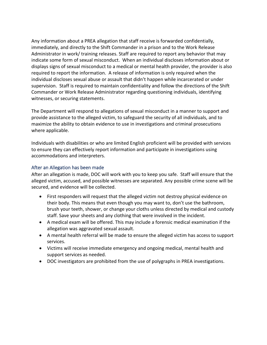Any information about a PREA allegation that staff receive is forwarded confidentially, immediately, and directly to the Shift Commander in a prison and to the Work Release Administrator in work/ training releases. Staff are required to report any behavior that may indicate some form of sexual misconduct. When an individual discloses information about or displays signs of sexual misconduct to a medical or mental health provider, the provider is also required to report the information. A release of information is only required when the individual discloses sexual abuse or assault that didn't happen while incarcerated or under supervision. Staff is required to maintain confidentiality and follow the directions of the Shift Commander or Work Release Administrator regarding questioning individuals, identifying witnesses, or securing statements.

The Department will respond to allegations of sexual misconduct in a manner to support and provide assistance to the alleged victim, to safeguard the security of all individuals, and to maximize the ability to obtain evidence to use in investigations and criminal prosecutions where applicable.

Individuals with disabilities or who are limited English proficient will be provided with services to ensure they can effectively report information and participate in investigations using accommodations and interpreters.

#### <span id="page-19-0"></span>After an Allegation has been made

After an allegation is made, DOC will work with you to keep you safe. Staff will ensure that the alleged victim, accused, and possible witnesses are separated. Any possible crime scene will be secured, and evidence will be collected.

- First responders will request that the alleged victim not destroy physical evidence on their body. This means that even though you may want to, don't use the bathroom, brush your teeth, shower, or change your cloths unless directed by medical and custody staff. Save your sheets and any clothing that were involved in the incident.
- A medical exam will be offered. This may include a forensic medical examination if the allegation was aggravated sexual assault.
- A mental health referral will be made to ensure the alleged victim has access to support services.
- Victims will receive immediate emergency and ongoing medical, mental health and support services as needed.
- DOC investigators are prohibited from the use of polygraphs in PREA investigations.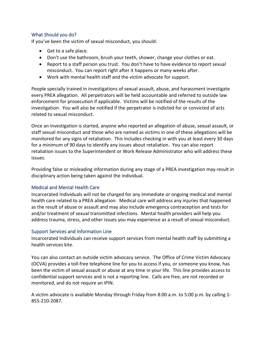#### <span id="page-20-0"></span>What Should you do?

If you've been the victim of sexual misconduct, you should:

- Get to a safe place.
- Don't use the bathroom, brush your teeth, shower, change your clothes or eat.
- Report to a staff person you trust. You don't have to have evidence to report sexual misconduct. You can report right after it happens or many weeks after.
- Work with mental health staff and the victim advocate for support.

People specially trained in investigations of sexual assault, abuse, and harassment investigate every PREA allegation. All perpetrators will be held accountable and referred to outside law enforcement for prosecution if applicable. Victims will be notified of the results of the investigation. You will also be notified if the perpetrator is indicted for or convicted of acts related to sexual misconduct.

Once an investigation is started, anyone who reported an allegation of abuse, sexual assault, or staff sexual misconduct and those who are named as victims in one of these allegations will be monitored for any signs of retaliation. This includes checking in with you at least every 30 days for a minimum of 90 days to identify any issues about retaliation. You can also report retaliation issues to the Superintendent or Work Release Administrator who will address these issues.

Providing false or misleading information during any stage of a PREA investigation may result in disciplinary action being taken against the individual.

#### <span id="page-20-1"></span>Medical and Mental Health Care

Incarcerated Individuals will not be charged for any immediate or ongoing medical and mental health care related to a PREA allegation. Medical care will address any injuries that happened as the result of abuse or assault and may also include emergency contraception and tests for and/or treatment of sexual transmitted infections. Mental health providers will help you address trauma, stress, and other issues you may experience as a result of sexual misconduct.

#### <span id="page-20-2"></span>Support Services and Information Line

Incarcerated Individuals can receive support services from mental health staff by submitting a health services kite.

You can also contact an outside victim advocacy service. The Office of Crime Victim Advocacy (OCVA) provides a toll-free telephone line for you to access if you, or someone you know, has been the victim of sexual assault or abuse at any time in your life. This line provides access to confidential support services and is not a reporting line. Calls are free, are not recorded or monitored, and do not require an IPIN.

A victim advocate is available Monday through Friday from 8:00 a.m. to 5:00 p.m. by calling 1- 855-210-2087.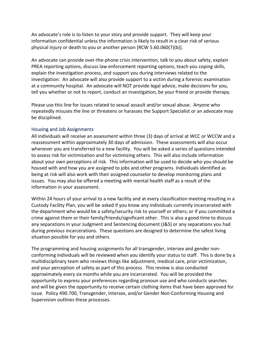An advocate's role is to listen to your story and provide support. They will keep your information confidential unless the information is likely to result in a clear risk of serious physical injury or death to you or another person [RCW 5.60.060(7)(b)].

An advocate can provide over-the-phone crisis intervention, talk to you about safety, explain PREA reporting options, discuss law enforcement reporting options, teach you coping skills, explain the investigation process, and support you during interviews related to the investigation. An advocate will also provide support to a victim during a forensic examination at a community hospital. An advocate will NOT provide legal advice, make decisions for you, tell you whether or not to report, conduct an investigation, be your friend or provide therapy.

Please use this line for issues related to sexual assault and/or sexual abuse. Anyone who repeatedly misuses the line or threatens or harasses the Support Specialist or an advocate may be disciplined.

#### <span id="page-21-0"></span>Housing and Job Assignments

All individuals will receive an assessment within three (3) days of arrival at WCC or WCCW and a reassessment within approximately 30 days of admission. These assessments will also occur whenever you are transferred to a new facility. You will be asked a series of questions intended to assess risk for victimization and for victimizing others. This will also include information about your own perceptions of risk. This information will be used to decide who you should be housed with and how you are assigned to jobs and other programs. Individuals identified as being at risk will also work with their assigned counselor to develop monitoring plans and issues. You may also be offered a meeting with mental health staff as a result of the information in your assessment.

Within 24 hours of your arrival to a new facility and at every classification meeting resulting in a Custody Facility Plan, you will be asked if you know any individuals currently incarcerated with the department who would be a safety/security risk to yourself or others; or if you committed a crime against them or their family/friends/significant other. This is also a good time to discuss any separations in your Judgment and Sentencing document (J&S) or any separations you had during previous incarcerations. These questions are designed to determine the safest living situation possible for you and others.

The programming and housing assignments for all transgender, intersex and gender nonconforming individuals will be reviewed when you identify your status to staff. This is done by a multidisciplinary team who reviews things like adjustment, medical care, prior victimization, and your perception of safety as part of this process. This review is also conducted approximately every six months while you are incarcerated. You will be provided the opportunity to express your preferences regarding pronoun use and who conducts searches and will be given the opportunity to receive certain clothing items that have been approved for issue. Policy 490.700, Transgender, Intersex, and/or Gender Non-Conforming Housing and Supervision outlines these processes.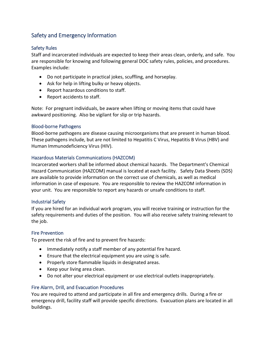# <span id="page-22-0"></span>Safety and Emergency Information

## <span id="page-22-1"></span>Safety Rules

Staff and incarcerated individuals are expected to keep their areas clean, orderly, and safe. You are responsible for knowing and following general DOC safety rules, policies, and procedures. Examples include:

- Do not participate in practical jokes, scuffling, and horseplay.
- Ask for help in lifting bulky or heavy objects.
- Report hazardous conditions to staff.
- Report accidents to staff.

Note: For pregnant individuals, be aware when lifting or moving items that could have awkward positioning. Also be vigilant for slip or trip hazards.

## <span id="page-22-2"></span>Blood-borne Pathogens

Blood-borne pathogens are disease causing microorganisms that are present in human blood. These pathogens include, but are not limited to Hepatitis C Virus, Hepatitis B Virus (HBV) and Human Immunodeficiency Virus (HIV).

#### <span id="page-22-3"></span>Hazardous Materials Communications (HAZCOM)

Incarcerated workers shall be informed about chemical hazards. The Department's Chemical Hazard Communication (HAZCOM) manual is located at each facility. Safety Data Sheets (SDS) are available to provide information on the correct use of chemicals, as well as medical information in case of exposure. You are responsible to review the HAZCOM information in your unit. You are responsible to report any hazards or unsafe conditions to staff.

#### <span id="page-22-4"></span>Industrial Safety

If you are hired for an individual work program, you will receive training or instruction for the safety requirements and duties of the position. You will also receive safety training relevant to the job.

#### <span id="page-22-5"></span>Fire Prevention

To prevent the risk of fire and to prevent fire hazards:

- Immediately notify a staff member of any potential fire hazard.
- Ensure that the electrical equipment you are using is safe.
- Properly store flammable liquids in designated areas.
- Keep your living area clean.
- Do not alter your electrical equipment or use electrical outlets inappropriately.

#### <span id="page-22-6"></span>Fire Alarm, Drill, and Evacuation Procedures

You are required to attend and participate in all fire and emergency drills. During a fire or emergency drill, facility staff will provide specific directions. Evacuation plans are located in all buildings.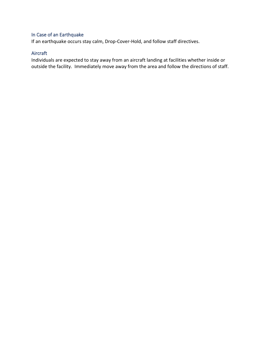# <span id="page-23-0"></span>In Case of an Earthquake

If an earthquake occurs stay calm, Drop-Cover-Hold, and follow staff directives.

## <span id="page-23-1"></span>Aircraft

Individuals are expected to stay away from an aircraft landing at facilities whether inside or outside the facility. Immediately move away from the area and follow the directions of staff.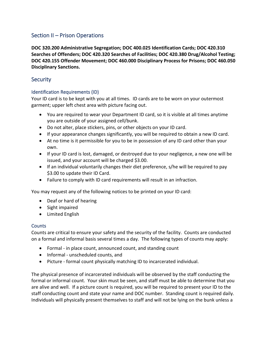# <span id="page-24-0"></span>Section II – Prison Operations

**DOC 320.200 Administrative Segregation; DOC 400.025 Identification Cards; DOC 420.310 Searches of Offenders; DOC 420.320 Searches of Facilities; DOC 420.380 Drug/Alcohol Testing; DOC 420.155 Offender Movement; DOC 460.000 Disciplinary Process for Prisons; DOC 460.050 Disciplinary Sanctions.** 

# <span id="page-24-1"></span>**Security**

## <span id="page-24-2"></span>Identification Requirements (ID)

Your ID card is to be kept with you at all times. ID cards are to be worn on your outermost garment; upper left chest area with picture facing out.

- You are required to wear your Department ID card, so it is visible at all times anytime you are outside of your assigned cell/bunk.
- Do not alter, place stickers, pins, or other objects on your ID card.
- If your appearance changes significantly, you will be required to obtain a new ID card.
- At no time is it permissible for you to be in possession of any ID card other than your own.
- If your ID card is lost, damaged, or destroyed due to your negligence, a new one will be issued, and your account will be charged \$3.00.
- If an individual voluntarily changes their diet preference, s/he will be required to pay \$3.00 to update their ID Card.
- Failure to comply with ID card requirements will result in an infraction.

You may request any of the following notices to be printed on your ID card:

- Deaf or hard of hearing
- Sight impaired
- Limited English

## <span id="page-24-3"></span>**Counts**

Counts are critical to ensure your safety and the security of the facility. Counts are conducted on a formal and informal basis several times a day. The following types of counts may apply:

- Formal in place count, announced count, and standing count
- Informal unscheduled counts, and
- Picture formal count physically matching ID to incarcerated individual.

The physical presence of incarcerated individuals will be observed by the staff conducting the formal or informal count. Your skin must be seen, and staff must be able to determine that you are alive and well. If a picture count is required, you will be required to present your ID to the staff conducting count and state your name and DOC number. Standing count is required daily. Individuals will physically present themselves to staff and will not be lying on the bunk unless a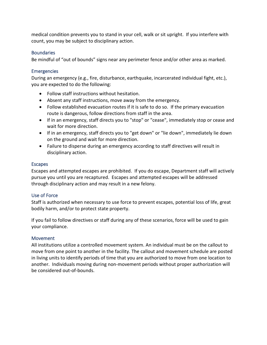medical condition prevents you to stand in your cell, walk or sit upright. If you interfere with count, you may be subject to disciplinary action.

## <span id="page-25-0"></span>**Boundaries**

Be mindful of "out of bounds" signs near any perimeter fence and/or other area as marked.

## <span id="page-25-1"></span>**Emergencies**

During an emergency (e.g., fire, disturbance, earthquake, incarcerated individual fight, etc.), you are expected to do the following:

- Follow staff instructions without hesitation.
- Absent any staff instructions, move away from the emergency.
- Follow established evacuation routes if it is safe to do so. If the primary evacuation route is dangerous, follow directions from staff in the area.
- If in an emergency, staff directs you to "stop" or "cease", immediately stop or cease and wait for more direction.
- If in an emergency, staff directs you to "get down" or "lie down", immediately lie down on the ground and wait for more direction.
- Failure to disperse during an emergency according to staff directives will result in disciplinary action.

## <span id="page-25-2"></span>Escapes

Escapes and attempted escapes are prohibited. If you do escape, Department staff will actively pursue you until you are recaptured. Escapes and attempted escapes will be addressed through disciplinary action and may result in a new felony.

## <span id="page-25-3"></span>Use of Force

Staff is authorized when necessary to use force to prevent escapes, potential loss of life, great bodily harm, and/or to protect state property.

If you fail to follow directives or staff during any of these scenarios, force will be used to gain your compliance.

## <span id="page-25-4"></span>Movement

All institutions utilize a controlled movement system. An individual must be on the callout to move from one point to another in the facility. The callout and movement schedule are posted in living units to identify periods of time that you are authorized to move from one location to another. Individuals moving during non-movement periods without proper authorization will be considered out-of-bounds.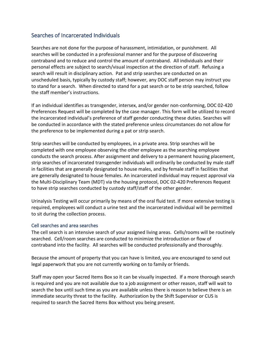# <span id="page-26-0"></span>Searches of Incarcerated Individuals

Searches are not done for the purpose of harassment, intimidation, or punishment. All searches will be conducted in a professional manner and for the purpose of discovering contraband and to reduce and control the amount of contraband. All individuals and their personal effects are subject to search/visual inspection at the direction of staff. Refusing a search will result in disciplinary action. Pat and strip searches are conducted on an unscheduled basis, typically by custody staff; however, any DOC staff person may instruct you to stand for a search. When directed to stand for a pat search or to be strip searched, follow the staff member's instructions.

If an individual identifies as transgender, intersex, and/or gender non-conforming, DOC 02-420 Preferences Request will be completed by the case manager. This form will be utilized to record the incarcerated individual's preference of staff gender conducting these duties. Searches will be conducted in accordance with the stated preference unless circumstances do not allow for the preference to be implemented during a pat or strip search.

Strip searches will be conducted by employees, in a private area. Strip searches will be completed with one employee observing the other employee as the searching employee conducts the search process. After assignment and delivery to a permanent housing placement, strip searches of incarcerated transgender individuals will ordinarily be conducted by male staff in facilities that are generally designated to house males, and by female staff in facilities that are generally designated to house females. An incarcerated individual may request approval via the Multi-Disciplinary Team (MDT) via the housing protocol, DOC 02-420 Preferences Request to have strip searches conducted by custody staff/staff of the other gender.

Urinalysis Testing will occur primarily by means of the oral fluid test. If more extensive testing is required, employees will conduct a urine test and the incarcerated individual will be permitted to sit during the collection process.

#### <span id="page-26-1"></span>Cell searches and area searches

The cell search is an intensive search of your assigned living areas. Cells/rooms will be routinely searched. Cell/room searches are conducted to minimize the introduction or flow of contraband into the facility. All searches will be conducted professionally and thoroughly.

Because the amount of property that you can have is limited, you are encouraged to send out legal paperwork that you are not currently working on to family or friends.

Staff may open your Sacred Items Box so it can be visually inspected. If a more thorough search is required and you are not available due to a job assignment or other reason, staff will wait to search the box until such time as you are available unless there is reason to believe there is an immediate security threat to the facility. Authorization by the Shift Supervisor or CUS is required to search the Sacred Items Box without you being present.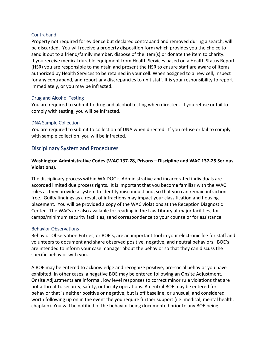## <span id="page-27-0"></span>Contraband

Property not required for evidence but declared contraband and removed during a search, will be discarded. You will receive a property disposition form which provides you the choice to send it out to a friend/family member, dispose of the item(s) or donate the item to charity. If you receive medical durable equipment from Health Services based on a Health Status Report (HSR) you are responsible to maintain and present the HSR to ensure staff are aware of items authorized by Health Services to be retained in your cell. When assigned to a new cell, inspect for any contraband, and report any discrepancies to unit staff. It is your responsibility to report immediately, or you may be infracted.

#### <span id="page-27-1"></span>Drug and Alcohol Testing

You are required to submit to drug and alcohol testing when directed. If you refuse or fail to comply with testing, you will be infracted.

#### <span id="page-27-2"></span>DNA Sample Collection

You are required to submit to collection of DNA when directed. If you refuse or fail to comply with sample collection, you will be infracted.

## <span id="page-27-3"></span>Disciplinary System and Procedures

## **Washington Administrative Codes (WAC 137-28, Prisons – Discipline and WAC 137-25 Serious Violations).**

The disciplinary process within WA DOC is Administrative and incarcerated individuals are accorded limited due process rights. It is important that you become familiar with the WAC rules as they provide a system to identify misconduct and, so that you can remain infraction free. Guilty findings as a result of infractions may impact your classification and housing placement. You will be provided a copy of the WAC violations at the Reception Diagnostic Center. The WACs are also available for reading in the Law Library at major facilities; for camps/minimum security facilities, send correspondence to your counselor for assistance.

#### <span id="page-27-4"></span>Behavior Observations

Behavior Observation Entries, or BOE's, are an important tool in your electronic file for staff and volunteers to document and share observed positive, negative, and neutral behaviors. BOE's are intended to inform your case manager about the behavior so that they can discuss the specific behavior with you.

A BOE may be entered to acknowledge and recognize positive, pro-social behavior you have exhibited. In other cases, a negative BOE may be entered following an Onsite Adjustment. Onsite Adjustments are informal, low level responses to correct minor rule violations that are not a threat to security, safety, or facility operations. A neutral BOE may be entered for behavior that is neither positive or negative, but is off baseline, or unusual, and considered worth following up on in the event the you require further support (i.e. medical, mental health, chaplain). You will be notified of the behavior being documented prior to any BOE being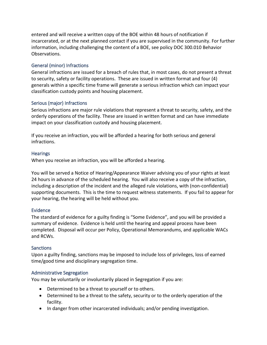entered and will receive a written copy of the BOE within 48 hours of notification if incarcerated, or at the next planned contact if you are supervised in the community. For further information, including challenging the content of a BOE, see policy DOC 300.010 Behavior Observations.

## <span id="page-28-0"></span>General (minor) Infractions

General infractions are issued for a breach of rules that, in most cases, do not present a threat to security, safety or facility operations. These are issued in written format and four (4) generals within a specific time frame will generate a serious infraction which can impact your classification custody points and housing placement.

## <span id="page-28-1"></span>Serious (major) Infractions

Serious infractions are major rule violations that represent a threat to security, safety, and the orderly operations of the facility. These are issued in written format and can have immediate impact on your classification custody and housing placement.

If you receive an infraction, you will be afforded a hearing for both serious and general infractions.

#### <span id="page-28-2"></span>**Hearings**

When you receive an infraction, you will be afforded a hearing.

You will be served a Notice of Hearing/Appearance Waiver advising you of your rights at least 24 hours in advance of the scheduled hearing. You will also receive a copy of the infraction, including a description of the incident and the alleged rule violations, with (non-confidential) supporting documents. This is the time to request witness statements. If you fail to appear for your hearing, the hearing will be held without you.

#### <span id="page-28-3"></span>Evidence

The standard of evidence for a guilty finding is "Some Evidence", and you will be provided a summary of evidence. Evidence is held until the hearing and appeal process have been completed. Disposal will occur per Policy, Operational Memorandums, and applicable WACs and RCWs.

#### <span id="page-28-4"></span>Sanctions

Upon a guilty finding, sanctions may be imposed to include loss of privileges, loss of earned time/good time and disciplinary segregation time.

#### <span id="page-28-5"></span>Administrative Segregation

You may be voluntarily or involuntarily placed in Segregation if you are:

- Determined to be a threat to yourself or to others.
- Determined to be a threat to the safety, security or to the orderly operation of the facility.
- In danger from other incarcerated individuals; and/or pending investigation.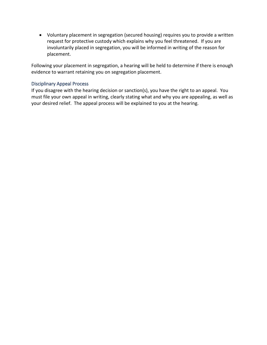• Voluntary placement in segregation (secured housing) requires you to provide a written request for protective custody which explains why you feel threatened. If you are involuntarily placed in segregation, you will be informed in writing of the reason for placement.

Following your placement in segregation, a hearing will be held to determine if there is enough evidence to warrant retaining you on segregation placement.

## <span id="page-29-0"></span>Disciplinary Appeal Process

If you disagree with the hearing decision or sanction(s), you have the right to an appeal. You must file your own appeal in writing, clearly stating what and why you are appealing, as well as your desired relief. The appeal process will be explained to you at the hearing.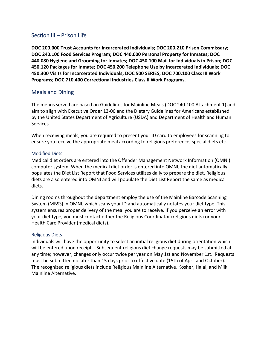# <span id="page-30-0"></span>Section III – Prison Life

**DOC 200.000 Trust Accounts for Incarcerated Individuals; DOC 200.210 Prison Commissary; DOC 240.100 Food Services Program; DOC 440.000 Personal Property for Inmates; DOC 440.080 Hygiene and Grooming for Inmates; DOC 450.100 Mail for Individuals in Prison; DOC 450.120 Packages for Inmate; DOC 450.200 Telephone Use by Incarcerated Individuals; DOC 450.300 Visits for Incarcerated Individuals; DOC 500 SERIES; DOC 700.100 Class III Work Programs; DOC 710.400 Correctional Industries Class II Work Programs.** 

# <span id="page-30-1"></span>Meals and Dining

The menus served are based on Guidelines for Mainline Meals (DOC 240.100 Attachment 1) and aim to align with Executive Order 13-06 and the Dietary Guidelines for Americans established by the United States Department of Agriculture (USDA) and Department of Health and Human Services.

When receiving meals, you are required to present your ID card to employees for scanning to ensure you receive the appropriate meal according to religious preference, special diets etc.

## <span id="page-30-2"></span>Modified Diets

Medical diet orders are entered into the Offender Management Network Information (OMNI) computer system. When the medical diet order is entered into OMNI, the diet automatically populates the Diet List Report that Food Services utilizes daily to prepare the diet. Religious diets are also entered into OMNI and will populate the Diet List Report the same as medical diets.

Dining rooms throughout the department employ the use of the Mainline Barcode Scanning System (MBSS) in OMNI, which scans your ID and automatically notates your diet type. This system ensures proper delivery of the meal you are to receive. If you perceive an error with your diet type, you must contact either the Religious Coordinator (religious diets) or your Health Care Provider (medical diets).

## <span id="page-30-3"></span>Religious Diets

Individuals will have the opportunity to select an initial religious diet during orientation which will be entered upon receipt. Subsequent religious diet change requests may be submitted at any time; however, changes only occur twice per year on May 1st and November 1st. Requests must be submitted no later than 15 days prior to effective date (15th of April and October). The recognized religious diets include Religious Mainline Alternative, Kosher, Halal, and Milk Mainline Alternative.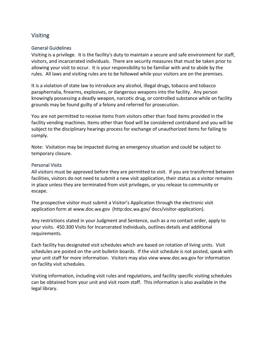# <span id="page-31-0"></span>Visiting

#### <span id="page-31-1"></span>General Guidelines

Visiting is a privilege. It is the facility's duty to maintain a secure and safe environment for staff, visitors, and incarcerated individuals. There are security measures that must be taken prior to allowing your visit to occur. It is your responsibility to be familiar with and to abide by the rules. All laws and visiting rules are to be followed while your visitors are on the premises.

It is a violation of state law to introduce any alcohol, illegal drugs, tobacco and tobacco paraphernalia, firearms, explosives, or dangerous weapons into the facility. Any person knowingly possessing a deadly weapon, narcotic drug, or controlled substance while on facility grounds may be found guilty of a felony and referred for prosecution.

You are not permitted to receive items from visitors other than food items provided in the facility vending machines. Items other than food will be considered contraband and you will be subject to the disciplinary hearings process for exchange of unauthorized items for failing to comply.

Note: Visitation may be impacted during an emergency situation and could be subject to temporary closure.

#### <span id="page-31-2"></span>Personal Visits

All visitors must be approved before they are permitted to visit. If you are transferred between facilities, visitors do not need to submit a new visit application, their status as a visitor remains in place unless they are terminated from visit privileges, or you release to community or escape.

The prospective visitor must submit a Visitor's Application through the electronic visit application form at www.doc.wa.gov (http:doc.wa.gov/ docs/visitor-application).

Any restrictions stated in your Judgment and Sentence, such as a no contact order, apply to your visits. 450.300 Visits for Incarcerated Individuals, outlines details and additional requirements.

Each facility has designated visit schedules which are based on rotation of living units. Visit schedules are posted on the unit bulletin boards. If the visit schedule is not posted, speak with your unit staff for more information. Visitors may also view www.doc.wa.gov for information on facility visit schedules.

Visiting information, including visit rules and regulations, and facility specific visiting schedules can be obtained from your unit and visit room staff. This information is also available in the legal library.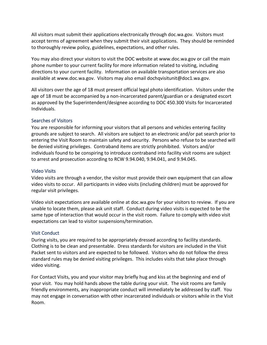All visitors must submit their applications electronically through doc.wa.gov. Visitors must accept terms of agreement when they submit their visit applications. They should be reminded to thoroughly review policy, guidelines, expectations, and other rules.

You may also direct your visitors to visit the DOC website at www.doc.wa.gov or call the main phone number to your current facility for more information related to visiting, including directions to your current facility. Information on available transportation services are also available at www.doc.wa.gov. Visitors may also email dochqvisitunit@doc1.wa.gov.

All visitors over the age of 18 must present official legal photo identification. Visitors under the age of 18 must be accompanied by a non-incarcerated parent/guardian or a designated escort as approved by the Superintendent/designee according to DOC 450.300 Visits for Incarcerated Individuals.

#### <span id="page-32-0"></span>Searches of Visitors

You are responsible for informing your visitors that all persons and vehicles entering facility grounds are subject to search. All visitors are subject to an electronic and/or pat search prior to entering the Visit Room to maintain safety and security. Persons who refuse to be searched will be denied visiting privileges. Contraband items are strictly prohibited. Visitors and/or individuals found to be conspiring to introduce contraband into facility visit rooms are subject to arrest and prosecution according to RCW 9.94.040, 9.94.041, and 9.94.045.

#### <span id="page-32-1"></span>Video Visits

Video visits are through a vendor, the visitor must provide their own equipment that can allow video visits to occur. All participants in video visits (including children) must be approved for regular visit privileges.

Video visit expectations are available online at doc.wa.gov for your visitors to review. If you are unable to locate them, please ask unit staff. Conduct during video visits is expected to be the same type of interaction that would occur in the visit room. Failure to comply with video visit expectations can lead to visitor suspensions/termination.

#### <span id="page-32-2"></span>Visit Conduct

During visits, you are required to be appropriately dressed according to facility standards. Clothing is to be clean and presentable. Dress standards for visitors are included in the Visit Packet sent to visitors and are expected to be followed. Visitors who do not follow the dress standard rules may be denied visiting privileges. This includes visits that take place through video visiting.

For Contact Visits, you and your visitor may briefly hug and kiss at the beginning and end of your visit. You may hold hands above the table during your visit. The visit rooms are family friendly environments, any inappropriate conduct will immediately be addressed by staff. You may not engage in conversation with other incarcerated individuals or visitors while in the Visit Room.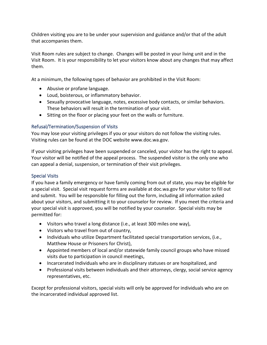Children visiting you are to be under your supervision and guidance and/or that of the adult that accompanies them.

Visit Room rules are subject to change. Changes will be posted in your living unit and in the Visit Room. It is your responsibility to let your visitors know about any changes that may affect them.

At a minimum, the following types of behavior are prohibited in the Visit Room:

- Abusive or profane language.
- Loud, boisterous, or inflammatory behavior.
- Sexually provocative language, notes, excessive body contacts, or similar behaviors. These behaviors will result in the termination of your visit.
- Sitting on the floor or placing your feet on the walls or furniture.

## <span id="page-33-0"></span>Refusal/Termination/Suspension of Visits

You may lose your visiting privileges if you or your visitors do not follow the visiting rules. Visiting rules can be found at the DOC website www.doc.wa.gov.

If your visiting privileges have been suspended or canceled, your visitor has the right to appeal. Your visitor will be notified of the appeal process. The suspended visitor is the only one who can appeal a denial, suspension, or termination of their visit privileges.

## <span id="page-33-1"></span>Special Visits

If you have a family emergency or have family coming from out of state, you may be eligible for a special visit. Special visit request forms are available at doc.wa.gov for your visitor to fill out and submit. You will be responsible for filling out the form, including all information asked about your visitors, and submitting it to your counselor for review. If you meet the criteria and your special visit is approved, you will be notified by your counselor. Special visits may be permitted for:

- Visitors who travel a long distance (i.e., at least 300 miles one way),
- Visitors who travel from out of country,
- Individuals who utilize Department facilitated special transportation services, (i.e., Matthew House or Prisoners for Christ),
- Appointed members of local and/or statewide family council groups who have missed visits due to participation in council meetings,
- Incarcerated Individuals who are in disciplinary statuses or are hospitalized, and
- Professional visits between individuals and their attorneys, clergy, social service agency representatives, etc.

Except for professional visitors, special visits will only be approved for individuals who are on the incarcerated individual approved list.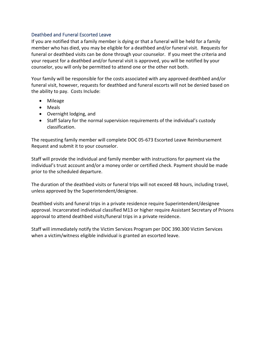#### <span id="page-34-0"></span>Deathbed and Funeral Escorted Leave

If you are notified that a family member is dying or that a funeral will be held for a family member who has died, you may be eligible for a deathbed and/or funeral visit. Requests for funeral or deathbed visits can be done through your counselor. If you meet the criteria and your request for a deathbed and/or funeral visit is approved, you will be notified by your counselor, you will only be permitted to attend one or the other not both.

Your family will be responsible for the costs associated with any approved deathbed and/or funeral visit, however, requests for deathbed and funeral escorts will not be denied based on the ability to pay. Costs Include:

- Mileage
- Meals
- Overnight lodging, and
- Staff Salary for the normal supervision requirements of the individual's custody classification.

The requesting family member will complete DOC 05-673 Escorted Leave Reimbursement Request and submit it to your counselor.

Staff will provide the individual and family member with instructions for payment via the individual's trust account and/or a money order or certified check. Payment should be made prior to the scheduled departure.

The duration of the deathbed visits or funeral trips will not exceed 48 hours, including travel, unless approved by the Superintendent/designee.

Deathbed visits and funeral trips in a private residence require Superintendent/designee approval. Incarcerated individual classified M13 or higher require Assistant Secretary of Prisons approval to attend deathbed visits/funeral trips in a private residence.

Staff will immediately notify the Victim Services Program per DOC 390.300 Victim Services when a victim/witness eligible individual is granted an escorted leave.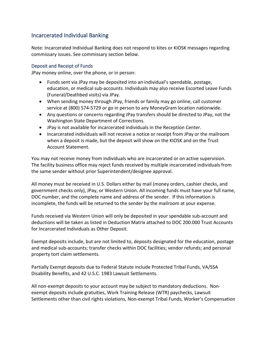# <span id="page-35-0"></span>Incarcerated Individual Banking

Note: Incarcerated Individual Banking does not respond to kites or KIOSK messages regarding commissary issues. See commissary section below.

#### <span id="page-35-1"></span>Deposit and Receipt of Funds

JPay money online, over the phone, or in person:

- Funds sent via JPay may be deposited into an individual's spendable, postage, education, or medical sub-accounts. Individuals may also receive Escorted Leave Funds (Funeral/Deathbed visits) via JPay.
- When sending money through JPay, friends or family may go online, call customer service at (800) 574-5729 or go in person to any MoneyGram location nationwide.
- Any questions or concerns regarding JPay transfers should be directed to JPay, not the Washington State Department of Corrections.
- JPay is not available for incarcerated individuals in the Reception Center.
- Incarcerated individuals will not receive a notice or receipt from JPay or the mailroom when a deposit is made, but the deposit will show on the KIOSK and on the Trust Account Statement.

You may not receive money from individuals who are incarcerated or on active supervision. The facility business office may reject funds received by multiple incarcerated individuals from the same sender without prior Superintendent/designee approval.

All money must be received in U.S. Dollars either by mail (money orders, cashier checks, and government checks only), JPay, or Western Union. All incoming funds must have your full name, DOC number, and the complete name and address of the sender. If this information is incomplete, the funds will be returned to the sender by the mailroom at your expense.

Funds received via Western Union will only be deposited in your spendable sub-account and deductions will be taken as listed in Deduction Matrix attached to DOC 200.000 Trust Accounts for Incarcerated Individuals as Other Deposit.

Exempt deposits include, but are not limited to, deposits designated for the education, postage and medical sub-accounts; transfer checks within DOC facilities; vendor refunds; and personal property tort claim settlements.

Partially Exempt deposits due to Federal Statute include Protected Tribal Funds, VA/SSA Disability Benefits, and 42 U.S.C. 1983 Lawsuit Settlements.

All non-exempt deposits to your account may be subject to mandatory deductions. Nonexempt deposits include gratuities, Work Training Release (WTR) paychecks, Lawsuit Settlements other than civil rights violations, Non-exempt Tribal Funds, Worker's Compensation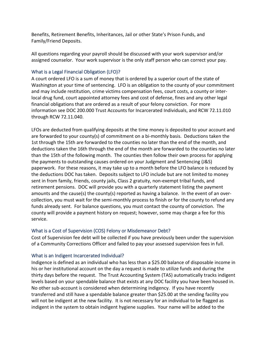Benefits, Retirement Benefits, Inheritances, Jail or other State's Prison Funds, and Family/Friend Deposits.

All questions regarding your payroll should be discussed with your work supervisor and/or assigned counselor. Your work supervisor is the only staff person who can correct your pay.

### What is a Legal Financial Obligation (LFO)?

A court ordered LFO is a sum of money that is ordered by a superior court of the state of Washington at your time of sentencing. LFO is an obligation to the county of your commitment and may include restitution, crime victims compensation fees, court costs, a county or interlocal drug fund, court appointed attorney fees and cost of defense, fines and any other legal financial obligations that are ordered as a result of your felony conviction. For more information see DOC 200.000 Trust Accounts for Incarcerated Individuals, and RCW 72.11.010 through RCW 72.11.040.

LFOs are deducted from qualifying deposits at the time money is deposited to your account and are forwarded to your county(s) of commitment on a bi-monthly basis. Deductions taken the 1st through the 15th are forwarded to the counties no later than the end of the month, and deductions taken the 16th through the end of the month are forwarded to the counties no later than the 15th of the following month. The counties then follow their own process for applying the payments to outstanding causes ordered on your Judgment and Sentencing (J&S) paperwork. For these reasons, it may take up to a month before the LFO balance is reduced by the deductions DOC has taken. Deposits subject to LFO include but are not limited to money sent in from family, friends, county jails, Class 2 gratuity, non-exempt tribal funds, and retirement pensions. DOC will provide you with a quarterly statement listing the payment amounts and the cause(s) the county(s) reported as having a balance. In the event of an overcollection, you must wait for the semi-monthly process to finish or for the county to refund any funds already sent. For balance questions, you must contact the county of conviction. The county will provide a payment history on request; however, some may charge a fee for this service.

### What is a Cost of Supervision (COS) Felony or Misdemeanor Debt?

Cost of Supervision fee debt will be collected if you have previously been under the supervision of a Community Corrections Officer and failed to pay your assessed supervision fees in full.

### What is an Indigent Incarcerated Individual?

Indigence is defined as an individual who has less than a \$25.00 balance of disposable income in his or her institutional account on the day a request is made to utilize funds and during the thirty days before the request. The Trust Accounting System (TAS) automatically tracks indigent levels based on your spendable balance that exists at any DOC facility you have been housed in. No other sub-account is considered when determining indigency. If you have recently transferred and still have a spendable balance greater than \$25.00 at the sending facility you will not be indigent at the new facility. It is not necessary for an individual to be flagged as indigent in the system to obtain indigent hygiene supplies. Your name will be added to the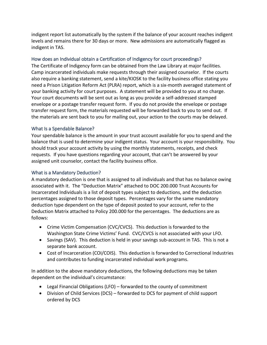indigent report list automatically by the system if the balance of your account reaches indigent levels and remains there for 30 days or more. New admissions are automatically flagged as indigent in TAS.

### How does an Individual obtain a Certification of Indigency for court proceedings?

The Certificate of Indigency form can be obtained from the Law Library at major facilities. Camp incarcerated individuals make requests through their assigned counselor. If the courts also require a banking statement, send a kite/KIOSK to the facility business office stating you need a Prison Litigation Reform Act (PLRA) report, which is a six-month averaged statement of your banking activity for court purposes. A statement will be provided to you at no charge. Your court documents will be sent out as long as you provide a self-addressed stamped envelope or a postage transfer request form. If you do not provide the envelope or postage transfer request form, the materials requested will be forwarded back to you to send out. If the materials are sent back to you for mailing out, your action to the courts may be delayed.

### What Is a Spendable Balance?

Your spendable balance is the amount in your trust account available for you to spend and the balance that is used to determine your indigent status. Your account is your responsibility. You should track your account activity by using the monthly statements, receipts, and check requests. If you have questions regarding your account, that can't be answered by your assigned unit counselor, contact the facility business office.

### What is a Mandatory Deduction?

A mandatory deduction is one that is assigned to all individuals and that has no balance owing associated with it. The "Deduction Matrix" attached to DOC 200.000 Trust Accounts for Incarcerated Individuals is a list of deposit types subject to deductions, and the deduction percentages assigned to those deposit types. Percentages vary for the same mandatory deduction type dependent on the type of deposit posted to your account, refer to the Deduction Matrix attached to Policy 200.000 for the percentages. The deductions are as follows:

- Crime Victim Compensation (CVC/CVCS). This deduction is forwarded to the Washington State Crime Victims' Fund. CVC/CVCS is not associated with your LFO.
- Savings (SAV). This deduction is held in your savings sub-account in TAS. This is not a separate bank account.
- Cost of Incarceration (COI/COIS). This deduction is forwarded to Correctional Industries and contributes to funding incarcerated individual work programs.

In addition to the above mandatory deductions, the following deductions may be taken dependent on the individual's circumstance:

- Legal Financial Obligations (LFO) forwarded to the county of commitment
- Division of Child Services (DCS) forwarded to DCS for payment of child support ordered by DCS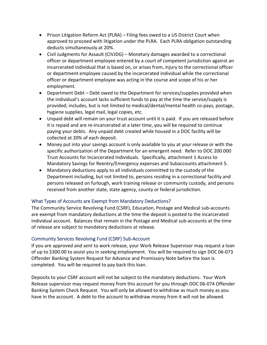- Prison Litigation Reform Act (PLRA) Filing fees owed to a US District Court when approved to proceed with litigation under the PLRA. Each PLRA obligation outstanding deducts simultaneously at 20%.
- Civil Judgments for Assault (CIVJDG) Monetary damages awarded to a correctional officer or department employee entered by a court of competent jurisdiction against an incarcerated individual that is based on, or arises from, injury to the correctional officer or department employee caused by the incarcerated individual while the correctional officer or department employee was acting in the course and scope of his or her employment.
- Department Debt Debt owed to the Department for services/supplies provided when the individual's account lacks sufficient funds to pay at the time the service/supply is provided; includes, but is not limited to medical/dental/mental health co-pays, postage, hygiene supplies, legal mail, legal copies, etc.
- Unpaid debt will remain on your trust account until it is paid. If you are released before it is repaid and are re-incarcerated at a later time, you will be required to continue paying your debts. Any unpaid debt created while housed in a DOC facility will be collected at 20% of each deposit.
- Money put into your savings account is only available to you at your release or with the specific authorization of the Department for an emergent need. Refer to DOC 200.000 Trust Accounts for Incarcerated Individuals. Specifically, attachment 1 Access to Mandatory Savings for Reentry/Emergency expenses and Subaccounts attachment 5.
- Mandatory deductions apply to all individuals committed to the custody of the Department including, but not limited to, persons residing in a correctional facility and persons released on furlough, work training release or community custody, and persons received from another state, state agency, county or federal jurisdiction.

# What Types of Accounts are Exempt from Mandatory Deductions?

The Community Service Revolving Fund (CSRF), Education, Postage and Medical sub-accounts are exempt from mandatory deductions at the time the deposit is posted to the incarcerated individual account. Balances that remain in the Postage and Medical sub-accounts at the time of release are subject to mandatory deductions at release.

### Community Services Revolving Fund (CSRF) Sub-Account

If you are approved and sent to work release, your Work Release Supervisor may request a loan of up to \$300.00 to assist you in seeking employment. You will be required to sign DOC 06-073 Offender Banking System Request for Advance and Promissory Note before the loan is completed. You will be required to pay back this loan.

Deposits to your CSRF account will not be subject to the mandatory deductions. Your Work Release supervisor may request money from this account for you through DOC 06-074 Offender Banking System Check Request. You will only be allowed to withdraw as much money as you have in the account. A debt to the account to withdraw money from it will not be allowed.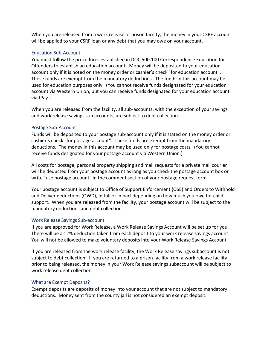When you are released from a work release or prison facility, the money in your CSRF account will be applied to your CSRF loan or any debt that you may owe on your account.

#### Education Sub-Account

You must follow the procedures established in DOC 500.100 Correspondence Education for Offenders to establish an education account. Money will be deposited to your education account only if it is noted on the money order or cashier's check "for education account". These funds are exempt from the mandatory deductions. The funds in this account may be used for education purposes only. (You cannot receive funds designated for your education account via Western Union, but you can receive funds designated for your education account via JPay.)

When you are released from the facility, all sub-accounts, with the exception of your savings and work release savings sub accounts, are subject to debt collection.

#### Postage Sub-Account

Funds will be deposited to your postage sub-account only if it is stated on the money order or cashier's check "for postage account". These funds are exempt from the mandatory deductions. The money in this account may be used only for postage costs. (You cannot receive funds designated for your postage account via Western Union.)

All costs for postage, personal property shipping and mail requests for a private mail courier will be deducted from your postage account as long as you check the postage account box or write "use postage account" in the comment section of your postage request form.

Your postage account is subject to Office of Support Enforcement (OSE) and Orders to Withhold and Deliver deductions (OWD), in full or in part depending on how much you owe for child support. When you are released from the facility, your postage account will be subject to the mandatory deductions and debt collection.

### Work Release Savings Sub-account

If you are approved for Work Release, a Work Release Savings Account will be set up for you. There will be a 12% deduction taken from each deposit to your work release savings account. You will not be allowed to make voluntary deposits into your Work Release Savings Account.

If you are released from the work release facility, the Work Release savings subaccount is not subject to debt collection. If you are returned to a prison facility from a work release facility prior to being released, the money in your Work Release savings subaccount will be subject to work release debt collection.

### What are Exempt Deposits?

Exempt deposits are deposits of money into your account that are not subject to mandatory deductions. Money sent from the county jail is not considered an exempt deposit.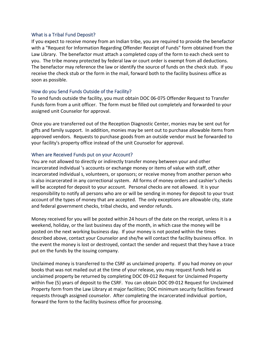#### What is a Tribal Fund Deposit?

If you expect to receive money from an Indian tribe, you are required to provide the benefactor with a "Request for Information Regarding Offender Receipt of Funds" form obtained from the Law Library. The benefactor must attach a completed copy of the form to each check sent to you. The tribe money protected by federal law or court order is exempt from all deductions. The benefactor may reference the law or identify the source of funds on the check stub. If you receive the check stub or the form in the mail, forward both to the facility business office as soon as possible.

#### How do you Send Funds Outside of the Facility?

To send funds outside the facility, you must obtain DOC 06-075 Offender Request to Transfer Funds form from a unit officer. The form must be filled out completely and forwarded to your assigned unit Counselor for approval.

Once you are transferred out of the Reception Diagnostic Center, monies may be sent out for gifts and family support. In addition, monies may be sent out to purchase allowable items from approved vendors. Requests to purchase goods from an outside vendor must be forwarded to your facility's property office instead of the unit Counselor for approval.

#### When are Received Funds put on your Account?

You are not allowed to directly or indirectly transfer money between your and other incarcerated individual 's accounts or exchange money or items of value with staff, other incarcerated individual s, volunteers, or sponsors; or receive money from another person who is also incarcerated in any correctional system. All forms of money orders and cashier's checks will be accepted for deposit to your account. Personal checks are not allowed. It is your responsibility to notify all persons who are or will be sending in money for deposit to your trust account of the types of money that are accepted. The only exceptions are allowable city, state and federal government checks, tribal checks, and vendor refunds.

Money received for you will be posted within 24 hours of the date on the receipt, unless it is a weekend, holiday, or the last business day of the month, in which case the money will be posted on the next working business day. If your money is not posted within the times described above, contact your Counselor and she/he will contact the facility business office. In the event the money is lost or destroyed, contact the sender and request that they have a trace put on the funds by the issuing company.

Unclaimed money is transferred to the CSRF as unclaimed property. If you had money on your books that was not mailed out at the time of your release, you may request funds held as unclaimed property be returned by completing DOC 09-012 Request for Unclaimed Property within five (5) years of deposit to the CSRF. You can obtain DOC 09-012 Request for Unclaimed Property form from the Law Library at major facilities; DOC minimum security facilities forward requests through assigned counselor. After completing the incarcerated individual portion, forward the form to the facility business office for processing.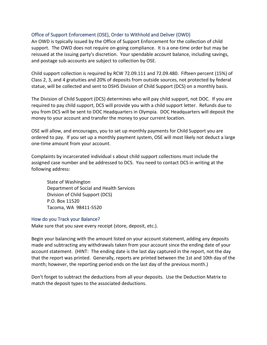#### Office of Support Enforcement (OSE), Order to Withhold and Deliver (OWD)

An OWD is typically issued by the Office of Support Enforcement for the collection of child support. The OWD does not require on-going compliance. It is a one-time order but may be reissued at the issuing party's discretion. Your spendable account balance, including savings, and postage sub-accounts are subject to collection by OSE.

Child support collection is required by RCW 72.09.111 and 72.09.480. Fifteen percent (15%) of Class 2, 3, and 4 gratuities and 20% of deposits from outside sources, not protected by federal statue, will be collected and sent to DSHS Division of Child Support (DCS) on a monthly basis.

The Division of Child Support (DCS) determines who will pay child support, not DOC. If you are required to pay child support, DCS will provide you with a child support letter. Refunds due to you from DCS will be sent to DOC Headquarters in Olympia. DOC Headquarters will deposit the money to your account and transfer the money to your current location.

OSE will allow, and encourages, you to set up monthly payments for Child Support you are ordered to pay. If you set up a monthly payment system, OSE will most likely not deduct a large one-time amount from your account.

Complaints by incarcerated individual s about child support collections must include the assigned case number and be addressed to DCS. You need to contact DCS in writing at the following address:

State of Washington Department of Social and Health Services Division of Child Support (DCS) P.O. Box 11520 Tacoma, WA 98411-5520

#### How do you Track your Balance?

Make sure that you save every receipt (store, deposit, etc.).

Begin your balancing with the amount listed on your account statement, adding any deposits made and subtracting any withdrawals taken from your account since the ending date of your account statement. (HINT: The ending date is the last day captured in the report, not the day that the report was printed. Generally, reports are printed between the 1st and 10th day of the month; however, the reporting period ends on the last day of the previous month.)

Don't forget to subtract the deductions from all your deposits. Use the Deduction Matrix to match the deposit types to the associated deductions.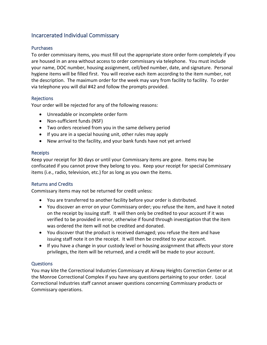# Incarcerated Individual Commissary

### Purchases

To order commissary items, you must fill out the appropriate store order form completely if you are housed in an area without access to order commissary via telephone. You must include your name, DOC number, housing assignment, cell/bed number, date, and signature. Personal hygiene items will be filled first. You will receive each item according to the item number, not the description. The maximum order for the week may vary from facility to facility. To order via telephone you will dial #42 and follow the prompts provided.

### Rejections

Your order will be rejected for any of the following reasons:

- Unreadable or incomplete order form
- Non-sufficient funds (NSF)
- Two orders received from you in the same delivery period
- If you are in a special housing unit, other rules may apply
- New arrival to the facility, and your bank funds have not yet arrived

### Receipts

Keep your receipt for 30 days or until your Commissary items are gone. Items may be confiscated if you cannot prove they belong to you. Keep your receipt for special Commissary items (i.e., radio, television, etc.) for as long as you own the items.

### Returns and Credits

Commissary items may not be returned for credit unless:

- You are transferred to another facility before your order is distributed.
- You discover an error on your Commissary order; you refuse the item, and have it noted on the receipt by issuing staff. It will then only be credited to your account if it was verified to be provided in error, otherwise if found through investigation that the item was ordered the item will not be credited and donated.
- You discover that the product is received damaged; you refuse the item and have issuing staff note it on the receipt. It will then be credited to your account.
- If you have a change in your custody level or housing assignment that affects your store privileges, the item will be returned, and a credit will be made to your account.

### **Questions**

You may kite the Correctional Industries Commissary at Airway Heights Correction Center or at the Monroe Correctional Complex if you have any questions pertaining to your order. Local Correctional Industries staff cannot answer questions concerning Commissary products or Commissary operations.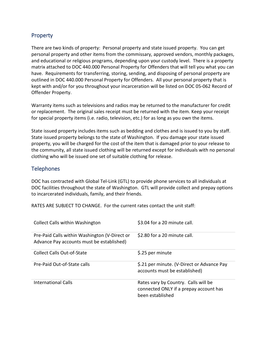# Property

There are two kinds of property: Personal property and state issued property. You can get personal property and other items from the commissary, approved vendors, monthly packages, and educational or religious programs, depending upon your custody level. There is a property matrix attached to DOC 440.000 Personal Property for Offenders that will tell you what you can have. Requirements for transferring, storing, sending, and disposing of personal property are outlined in DOC 440.000 Personal Property for Offenders. All your personal property that is kept with and/or for you throughout your incarceration will be listed on DOC 05-062 Record of Offender Property.

Warranty items such as televisions and radios may be returned to the manufacturer for credit or replacement. The original sales receipt must be returned with the item. Keep your receipt for special property items (i.e. radio, television, etc.) for as long as you own the items.

State issued property includes items such as bedding and clothes and is issued to you by staff. State issued property belongs to the state of Washington. If you damage your state issued property, you will be charged for the cost of the item that is damaged prior to your release to the community, all state issued clothing will be returned except for individuals with no personal clothing who will be issued one set of suitable clothing for release.

# Telephones

DOC has contracted with Global Tel-Link (GTL) to provide phone services to all individuals at DOC facilities throughout the state of Washington. GTL will provide collect and prepay options to incarcerated individuals, family, and their friends.

RATES ARE SUBJECT TO CHANGE. For the current rates contact the unit staff:

| <b>Collect Calls within Washington</b>                                                     | \$3.04 for a 20 minute call.                                                                       |
|--------------------------------------------------------------------------------------------|----------------------------------------------------------------------------------------------------|
| Pre-Paid Calls within Washington (V-Direct or<br>Advance Pay accounts must be established) | \$2.80 for a 20 minute call.                                                                       |
| Collect Calls Out-of-State                                                                 | \$.25 per minute                                                                                   |
| Pre-Paid Out-of-State calls                                                                | \$.21 per minute. (V-Direct or Advance Pay<br>accounts must be established)                        |
| International Calls                                                                        | Rates vary by Country. Calls will be<br>connected ONLY if a prepay account has<br>been established |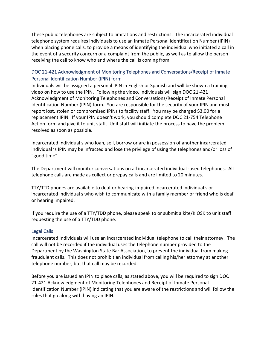These public telephones are subject to limitations and restrictions. The incarcerated individual telephone system requires individuals to use an Inmate Personal Identification Number (IPIN) when placing phone calls, to provide a means of identifying the individual who initiated a call in the event of a security concern or a complaint from the public, as well as to allow the person receiving the call to know who and where the call is coming from.

# DOC 21-421 Acknowledgment of Monitoring Telephones and Conversations/Receipt of Inmate Personal Identification Number (IPIN) form

Individuals will be assigned a personal IPIN in English or Spanish and will be shown a training video on how to use the IPIN. Following the video, individuals will sign DOC 21-421 Acknowledgment of Monitoring Telephones and Conversations/Receipt of Inmate Personal Identification Number (IPIN) form. You are responsible for the security of your IPIN and must report lost, stolen or compromised IPINs to facility staff. You may be charged \$3.00 for a replacement IPIN. If your IPIN doesn't work, you should complete DOC 21-754 Telephone Action form and give it to unit staff. Unit staff will initiate the process to have the problem resolved as soon as possible.

Incarcerated individual s who loan, sell, borrow or are in possession of another incarcerated individual 's IPIN may be infracted and lose the privilege of using the telephones and/or loss of "good time".

The Department will monitor conversations on all incarcerated individual -used telephones. All telephone calls are made as collect or prepay calls and are limited to 20 minutes.

TTY/TTD phones are available to deaf or hearing-impaired incarcerated individual s or incarcerated individual s who wish to communicate with a family member or friend who is deaf or hearing impaired.

If you require the use of a TTY/TDD phone, please speak to or submit a kite/KIOSK to unit staff requesting the use of a TTY/TDD phone.

#### Legal Calls

Incarcerated Individuals will use an incarcerated individual telephone to call their attorney. The call will not be recorded if the individual uses the telephone number provided to the Department by the Washington State Bar Association, to prevent the individual from making fraudulent calls. This does not prohibit an individual from calling his/her attorney at another telephone number, but that call may be recorded.

Before you are issued an IPIN to place calls, as stated above, you will be required to sign DOC 21-421 Acknowledgment of Monitoring Telephones and Receipt of Inmate Personal Identification Number (IPIN) indicating that you are aware of the restrictions and will follow the rules that go along with having an IPIN.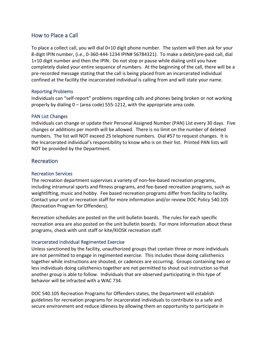# How to Place a Call

To place a collect call, you will dial 0+10 digit phone number. The system will then ask for your 8-digit IPIN number, (i.e., 0-360-444-1234 IPIN# 56784321). To make a debit/pre-paid call, dial 1+10 digit number and then the IPIN. Do not stop or pause while dialing until you have completely dialed your entire sequence of numbers. At the beginning of the call, there will be a pre-recorded message stating that the call is being placed from an incarcerated individual confined at the facility the incarcerated individual is calling from and will state your name.

#### Reporting Problems

Individuals can "self-report" problems regarding calls and phones being broken or not working properly by dialing 0 – (area code) 555-1212, with the appropriate area code.

#### PAN List Changes

Individuals can change or update their Personal Assigned Number (PAN) List every 30 days. Five changes or additions per month will be allowed. There is no limit on the number of deleted numbers. The list will NOT exceed 25 telephone numbers. Dial #57 to request changes. It is the Incarcerated individual's responsibility to know who is on their list. Printed PAN lists will NOT be provided by the Department.

### Recreation

#### Recreation Services

The recreation department supervises a variety of non-fee-based recreation programs, including intramural sports and fitness programs, and fee-based recreation programs, such as weightlifting, music and hobby. Fee based recreation programs differ from facility to facility. Contact your unit or recreation staff for more information and/or review DOC Policy 540.105 (Recreation Program for Offenders).

Recreation schedules are posted on the unit bulletin boards. The rules for each specific recreation area are also posted on the unit bulletin boards. For more information about these programs, check with unit staff or kite/KIOSK recreation staff.

### Incarcerated Individual Regimented Exercise

Unless sanctioned by the facility, unauthorized groups that contain three or more individuals are not permitted to engage in regimented exercise. This includes those doing calisthenics together while instructions are shouted, or cadences are occurring. Groups containing two or less individuals doing calisthenics together are not permitted to shout out instruction so that another group is able to follow. Individuals that are observed participating in this type of behavior will be infracted with a WAC 734.

DOC 540.105 Recreation Programs for Offenders states, the Department will establish guidelines for recreation programs for incarcerated individuals to contribute to a safe and secure environment and reduce idleness by allowing them an opportunity to participate in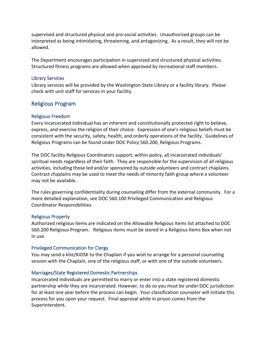supervised and structured physical and pro-social activities. Unauthorized groups can be interpreted as being intimidating, threatening, and antagonizing. As a result, they will not be allowed.

The Department encourages participation in supervised and structured physical activities. Structured fitness programs are allowed when approved by recreational staff members.

#### Library Services

Library services will be provided by the Washington State Library or a facility library. Please check with unit staff for services in your facility.

# Religious Program

### Religious Freedom

Every incarcerated individual has an inherent and constitutionally protected right to believe, express, and exercise the religion of their choice. Expression of one's religious beliefs must be consistent with the security, safety, health, and orderly operations of the facility. Guidelines of Religious Programs can be found under DOC Policy 560.200, Religious Programs.

The DOC facility Religious Coordinators support, within policy, all incarcerated individuals' spiritual needs regardless of their faith. They are responsible for the supervision of all religious activities, including those led and/or sponsored by outside volunteers and contract chaplains. Contract chaplains may be used to meet the needs of minority faith group where a volunteer may not be available.

The rules governing confidentiality during counseling differ from the external community. For a more detailed explanation, see DOC 560.100 Privileged Communication and Religious Coordinator Responsibilities.

#### Religious Property

Authorized religious items are indicated on the Allowable Religious Items list attached to DOC 560.200 Religious Program. Religious items must be stored in a Religious Items Box when not in use.

### Privileged Communication for Clergy

You may send a kite/KIOSK to the Chaplain if you wish to arrange for a personal counseling session with the Chaplain, one of the religious staff, or with one of the outside volunteers.

### Marriages/State Registered Domestic Partnerships

Incarcerated Individuals are permitted to marry or enter into a state registered domestic partnership while they are incarcerated. However, to do so you must be under DOC jurisdiction for at least one year before the process can begin. Your classification counselor will initiate this process for you upon your request. Final approval while in prison comes from the Superintendent.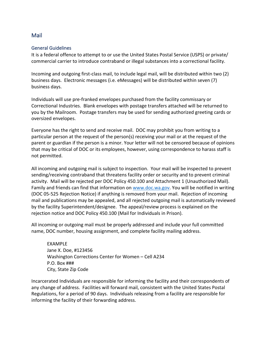# Mail

#### General Guidelines

It is a federal offence to attempt to or use the United States Postal Service (USPS) or private/ commercial carrier to introduce contraband or illegal substances into a correctional facility.

Incoming and outgoing first-class mail, to include legal mail, will be distributed within two (2) business days. Electronic messages (i.e. eMessages) will be distributed within seven (7) business days.

Individuals will use pre-franked envelopes purchased from the facility commissary or Correctional Industries. Blank envelopes with postage transfers attached will be returned to you by the Mailroom. Postage transfers may be used for sending authorized greeting cards or oversized envelopes.

Everyone has the right to send and receive mail. DOC may prohibit you from writing to a particular person at the request of the person(s) receiving your mail or at the request of the parent or guardian if the person is a minor. Your letter will not be censored because of opinions that may be critical of DOC or its employees, however, using correspondence to harass staff is not permitted.

All incoming and outgoing mail is subject to inspection. Your mail will be inspected to prevent sending/receiving contraband that threatens facility order or security and to prevent criminal activity. Mail will be rejected per DOC Policy 450.100 and Attachment 1 (Unauthorized Mail). Family and friends can find that information on [www.doc.wa.gov.](http://www.doc.wa.gov/) You will be notified in writing (DOC 05-525 Rejection Notice) if anything is removed from your mail. Rejection of incoming mail and publications may be appealed, and all rejected outgoing mail is automatically reviewed by the facility Superintendent/designee. The appeal/review process is explained on the rejection notice and DOC Policy 450.100 (Mail for Individuals in Prison).

All incoming or outgoing mail must be properly addressed and include your full committed name, DOC number, housing assignment, and complete facility mailing address.

EXAMPLE Jane X. Doe, #123456 Washington Corrections Center for Women – Cell A234 P.O. Box ### City, State Zip Code

Incarcerated Individuals are responsible for informing the facility and their correspondents of any change of address. Facilities will forward mail, consistent with the United States Postal Regulations, for a period of 90 days. Individuals releasing from a facility are responsible for informing the facility of their forwarding address.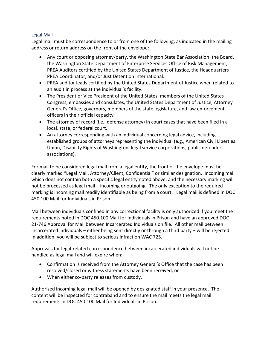### Legal Mail

Legal mail must be correspondence to or from one of the following, as indicated in the mailing address or return address on the front of the envelope:

- Any court or opposing attorney/party, the Washington State Bar Association, the Board, the Washington State Department of Enterprise Services Office of Risk Management, PREA Auditors certified by the United States Department of Justice, the Headquarters PREA Coordinator, and/or Just Detention International.
- PREA auditor leads certified by the United States Department of Justice when related to an audit in process at the individual's facility.
- The President or Vice President of the United States, members of the United States Congress, embassies and consulates, the United States Department of Justice, Attorney General's Office, governors, members of the state legislature, and law enforcement officers in their official capacity.
- The attorney of record (i.e., defense attorney) in court cases that have been filed in a local, state, or federal court.
- An attorney corresponding with an individual concerning legal advice, including established groups of attorneys representing the individual (e.g., American Civil Liberties Union, Disability Rights of Washington, legal service corporations, public defender associations).

For mail to be considered legal mail from a legal entity, the front of the envelope must be clearly marked "Legal Mail, Attorney/Client, Confidential" or similar designation. Incoming mail which does not contain both a specific legal entity noted above, and the necessary marking will not be processed as legal mail – incoming or outgoing. The only exception to the required marking is incoming mail readily identifiable as being from a court. Legal mail is defined in DOC 450.100 Mail for Individuals in Prison.

Mail between individuals confined in any correctional facility is only authorized if you meet the requirements noted in DOC 450.100 Mail for Individuals in Prison and have an approved DOC 21-746 Approval for Mail between Incarcerated Individuals on file. All other mail between incarcerated individuals – either being sent directly or through a third party – will be rejected. In addition, you will be subject to serious infraction WAC 725.

Approvals for legal-related correspondence between incarcerated individuals will not be handled as legal mail and will expire when:

- Confirmation is received from the Attorney General's Office that the case has been resolved/closed or witness statements have been received, or
- When either co-party releases from custody.

Authorized incoming legal mail will be opened by designated staff in your presence. The content will be inspected for contraband and to ensure the mail meets the legal mail requirements in DOC 450.100 Mail for Individuals in Prison.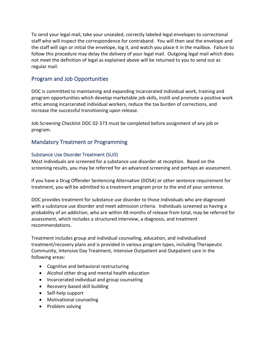To send your legal mail, take your unsealed, correctly labeled legal envelopes to correctional staff who will inspect the correspondence for contraband. You will then seal the envelope and the staff will sign or initial the envelope, log it, and watch you place it in the mailbox. Failure to follow this procedure may delay the delivery of your legal mail. Outgoing legal mail which does not meet the definition of legal as explained above will be returned to you to send out as regular mail.

# Program and Job Opportunities

DOC is committed to maintaining and expanding incarcerated individual work, training and program opportunities which develop marketable job skills, instill and promote a positive work ethic among incarcerated individual workers, reduce the tax burden of corrections, and increase the successful transitioning upon release.

Job Screening Checklist DOC 02-373 must be completed before assignment of any job or program.

# Mandatory Treatment or Programming

### Substance Use Disorder Treatment (SUD)

Most individuals are screened for a substance use disorder at reception. Based on the screening results, you may be referred for an advanced screening and perhaps an assessment.

If you have a Drug Offender Sentencing Alternative (DOSA) or other sentence requirement for treatment, you will be admitted to a treatment program prior to the end of your sentence.

DOC provides treatment for substance use disorder to those individuals who are diagnosed with a substance use disorder and meet admission criteria. Individuals screened as having a probability of an addiction, who are within 48 months of release from total, may be referred for assessment, which includes a structured interview, a diagnosis, and treatment recommendations.

Treatment includes group and individual counseling, education, and individualized treatment/recovery plans and is provided in various program types, including Therapeutic Community, Intensive Day Treatment, Intensive Outpatient and Outpatient care in the following areas:

- Cognitive and behavioral restructuring
- Alcohol other drug and mental health education
- Incarcerated individual and group counseling
- Recovery-based skill building
- Self-help support
- Motivational counseling
- Problem solving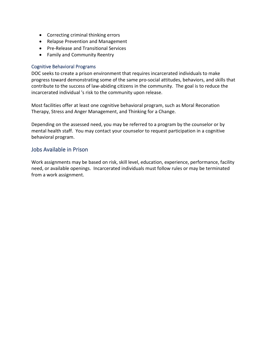- Correcting criminal thinking errors
- Relapse Prevention and Management
- Pre-Release and Transitional Services
- Family and Community Reentry

#### Cognitive Behavioral Programs

DOC seeks to create a prison environment that requires incarcerated individuals to make progress toward demonstrating some of the same pro-social attitudes, behaviors, and skills that contribute to the success of law-abiding citizens in the community. The goal is to reduce the incarcerated individual 's risk to the community upon release.

Most facilities offer at least one cognitive behavioral program, such as Moral Reconation Therapy, Stress and Anger Management, and Thinking for a Change.

Depending on the assessed need, you may be referred to a program by the counselor or by mental health staff. You may contact your counselor to request participation in a cognitive behavioral program.

### Jobs Available in Prison

Work assignments may be based on risk, skill level, education, experience, performance, facility need, or available openings. Incarcerated individuals must follow rules or may be terminated from a work assignment.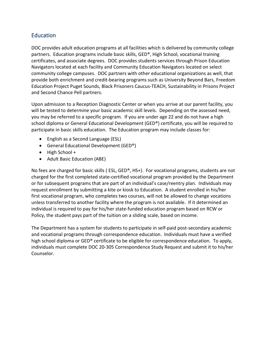# Education

DOC provides adult education programs at all facilities which is delivered by community college partners. Education programs include basic skills, GED®, High School, vocational training certificates, and associate degrees. DOC provides students services through Prison Education Navigators located at each facility and Community Education Navigators located on select community college campuses. DOC partners with other educational organizations as well, that provide both enrichment and credit-bearing programs such as University Beyond Bars, Freedom Education Project Puget Sounds, Black Prisoners Caucus-TEACH, Sustainability in Prisons Project and Second Chance Pell partners.

Upon admission to a Reception Diagnostic Center or when you arrive at our parent facility, you will be tested to determine your basic academic skill levels. Depending on the assessed need, you may be referred to a specific program. If you are under age 22 and do not have a high school diploma or General Educational Development (GED®) certificate, you will be required to participate in basic skills education. The Education program may include classes for:

- English as a Second Language (ESL)
- General Educational Development (GED®)
- High School +
- Adult Basic Education (ABE)

No fees are charged for basic skills (ESL, GED®, HS+). For vocational programs, students are not charged for the first completed state-certified vocational program provided by the Department or for subsequent programs that are part of an individual's case/reentry plan. Individuals may request enrollment by submitting a kite or kiosk to Education. A student enrolled in his/her first vocational program, who completes two courses, will not be allowed to change vocations unless transferred to another facility where the program is not available. If it determined an individual is required to pay for his/her state-funded education program based on RCW or Policy, the student pays part of the tuition on a sliding scale, based on income.

The Department has a system for students to participate in self-paid post-secondary academic and vocational programs through correspondence education. Individuals must have a verified high school diploma or GED® certificate to be eligible for correspondence education. To apply, individuals must complete DOC 20-305 Correspondence Study Request and submit it to his/her Counselor.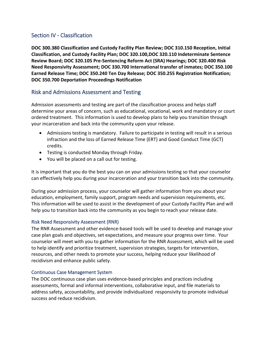# Section IV - Classification

**DOC 300.380 Classification and Custody Facility Plan Review; DOC 310.150 Reception, Initial Classification, and Custody Facility Plan; DOC 320.100,DOC 320.110 Indeterminate Sentence Review Board; DOC 320.105 Pre-Sentencing Reform Act (SRA) Hearings; DOC 320.400 Risk Need Responsivity Assessment; DOC 330.700 International transfer of inmates; DOC 350.100 Earned Release Time; DOC 350.240 Ten Day Release; DOC 350.255 Registration Notification; DOC 350.700 Deportation Proceedings Notification**

# Risk and Admissions Assessment and Testing

Admission assessments and testing are part of the classification process and helps staff determine your areas of concern, such as educational, vocational, work and mandatory or court ordered treatment. This information is used to develop plans to help you transition through your incarceration and back into the community upon your release.

- Admissions testing is mandatory. Failure to participate in testing will result in a serious infraction and the loss of Earned Release Time (ERT) and Good Conduct Time (GCT) credits.
- Testing is conducted Monday through Friday.
- You will be placed on a call out for testing.

It is important that you do the best you can on your admissions testing so that your counselor can effectively help you during your incarceration and your transition back into the community.

During your admission process, your counselor will gather information from you about your education, employment, family support, program needs and supervision requirements, etc. This information will be used to assist in the development of your Custody Facility Plan and will help you to transition back into the community as you begin to reach your release date.

### Risk Need Responsivity Assessment (RNR)

The RNR Assessment and other evidence-based tools will be used to develop and manage your case plan goals and objectives, set expectations, and measure your progress over time. Your counselor will meet with you to gather information for the RNR Assessment, which will be used to help identify and prioritize treatment, supervision strategies, targets for intervention, resources, and other needs to promote your success, helping reduce your likelihood of recidivism and enhance public safety.

### Continuous Case Management System

The DOC continuous case plan uses evidence-based principles and practices including assessments, formal and informal interventions, collaborative input, and file materials to address safety, accountability, and provide individualized responsivity to promote individual success and reduce recidivism.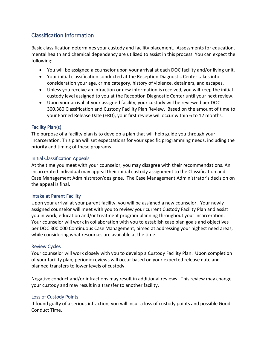# Classification Information

Basic classification determines your custody and facility placement. Assessments for education, mental health and chemical dependency are utilized to assist in this process. You can expect the following:

- You will be assigned a counselor upon your arrival at each DOC facility and/or living unit.
- Your initial classification conducted at the Reception Diagnostic Center takes into consideration your age, crime category, history of violence, detainers, and escapes.
- Unless you receive an infraction or new information is received, you will keep the initial custody level assigned to you at the Reception Diagnostic Center until your next review.
- Upon your arrival at your assigned facility, your custody will be reviewed per DOC 300.380 Classification and Custody Facility Plan Review. Based on the amount of time to your Earned Release Date (ERD), your first review will occur within 6 to 12 months.

### Facility Plan(s)

The purpose of a facility plan is to develop a plan that will help guide you through your incarceration. This plan will set expectations for your specific programming needs, including the priority and timing of these programs.

### Initial Classification Appeals

At the time you meet with your counselor, you may disagree with their recommendations. An incarcerated individual may appeal their initial custody assignment to the Classification and Case Management Administrator/designee. The Case Management Administrator's decision on the appeal is final.

### Intake at Parent Facility

Upon your arrival at your parent facility, you will be assigned a new counselor. Your newly assigned counselor will meet with you to review your current Custody Facility Plan and assist you in work, education and/or treatment program planning throughout your incarceration. Your counselor will work in collaboration with you to establish case plan goals and objectives per DOC 300.000 Continuous Case Management, aimed at addressing your highest need areas, while considering what resources are available at the time.

### Review Cycles

Your counselor will work closely with you to develop a Custody Facility Plan. Upon completion of your facility plan, periodic reviews will occur based on your expected release date and planned transfers to lower levels of custody.

Negative conduct and/or infractions may result in additional reviews. This review may change your custody and may result in a transfer to another facility.

### Loss of Custody Points

If found guilty of a serious infraction, you will incur a loss of custody points and possible Good Conduct Time.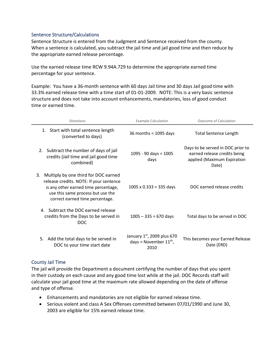#### Sentence Structure/Calculations

Sentence Structure is entered from the Judgment and Sentence received from the county. When a sentence is calculated, you subtract the jail time and jail good time and then reduce by the appropriate earned release percentage.

Use the earned release time RCW 9.94A.729 to determine the appropriate earned time percentage for your sentence.

Example: You have a 36-month sentence with 60 days Jail time and 30 days Jail good time with 33.3% earned release time with a time start of 01-01-2009. NOTE: This is a very basic sentence structure and does not take into account enhancements, mandatories, loss of good conduct time or earned time.

| <b>Directions</b>                                                                                                                                                                                     | <b>Example Calculation</b>                                           | Outcome of Calculation                                                                                    |
|-------------------------------------------------------------------------------------------------------------------------------------------------------------------------------------------------------|----------------------------------------------------------------------|-----------------------------------------------------------------------------------------------------------|
| 1. Start with total sentence length<br>(converted to days)                                                                                                                                            | 36 months = $1095$ days                                              | <b>Total Sentence Length</b>                                                                              |
| 2. Subtract the number of days of jail<br>credits (Jail time and jail good time<br>combined)                                                                                                          | $1095 - 90$ days = $1005$<br>days                                    | Days to be served in DOC prior to<br>earned release credits being<br>applied (Maximum Expiration<br>Date) |
| Multiply by one third for DOC earned<br>3.<br>release credits. NOTE: If your sentence<br>is any other earned time percentage,<br>use this same process but use the<br>correct earned time percentage. | $1005 \times 0.333 = 335$ days                                       | DOC earned release credits                                                                                |
| 4. Subtract the DOC earned release<br>credits from the Days to be served in<br>DOC.                                                                                                                   | $1005 - 335 = 670$ days                                              | Total days to be served in DOC                                                                            |
| Add the total days to be served in<br>5.<br>DOC to your time start date                                                                                                                               | January $1st$ , 2009 plus 670<br>days = November $11^{th}$ ,<br>2010 | This becomes your Earned Release<br>Date (ERD)                                                            |

### County Jail Time

The jail will provide the Department a document certifying the number of days that you spent in their custody on each cause and any good time lost while at the jail. DOC Records staff will calculate your jail good time at the maximum rate allowed depending on the date of offense and type of offense.

- Enhancements and mandatories are not eligible for earned release time.
- Serious violent and class A Sex Offenses committed between 07/01/1990 and June 30, 2003 are eligible for 15% earned release time.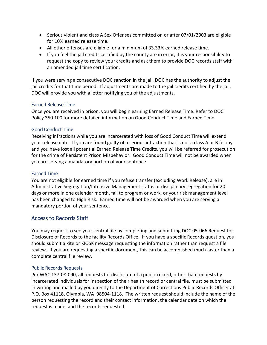- Serious violent and class A Sex Offenses committed on or after 07/01/2003 are eligible for 10% earned release time.
- All other offenses are eligible for a minimum of 33.33% earned release time.
- If you feel the jail credits certified by the county are in error, it is your responsibility to request the copy to review your credits and ask them to provide DOC records staff with an amended jail time certification.

If you were serving a consecutive DOC sanction in the jail, DOC has the authority to adjust the jail credits for that time period. If adjustments are made to the jail credits certified by the jail, DOC will provide you with a letter notifying you of the adjustments.

### Earned Release Time

Once you are received in prison, you will begin earning Earned Release Time. Refer to DOC Policy 350.100 for more detailed information on Good Conduct Time and Earned Time.

### Good Conduct Time

Receiving infractions while you are incarcerated with loss of Good Conduct Time will extend your release date. If you are found guilty of a serious infraction that is not a class A or B felony and you have lost all potential Earned Release Time Credits, you will be referred for prosecution for the crime of Persistent Prison Misbehavior. Good Conduct Time will not be awarded when you are serving a mandatory portion of your sentence.

### Earned Time

You are not eligible for earned time if you refuse transfer (excluding Work Release), are in Administrative Segregation/Intensive Management status or disciplinary segregation for 20 days or more in one calendar month, fail to program or work, or your risk management level has been changed to High Risk. Earned time will not be awarded when you are serving a mandatory portion of your sentence.

# Access to Records Staff

You may request to see your central file by completing and submitting DOC 05-066 Request for Disclosure of Records to the facility Records Office. If you have a specific Records question, you should submit a kite or KIOSK message requesting the information rather than request a file review. If you are requesting a specific document, this can be accomplished much faster than a complete central file review.

### Public Records Requests

Per WAC 137-08-090, all requests for disclosure of a public record, other than requests by incarcerated individuals for inspection of their health record or central file, must be submitted in writing and mailed by you directly to the Department of Corrections Public Records Officer at P.O. Box 41118, Olympia, WA 98504-1118. The written request should include the name of the person requesting the record and their contact information, the calendar date on which the request is made, and the records requested.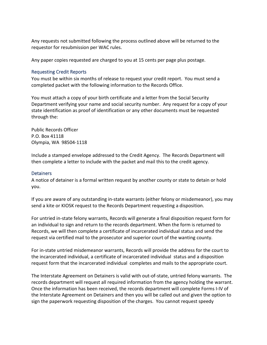Any requests not submitted following the process outlined above will be returned to the requestor for resubmission per WAC rules.

Any paper copies requested are charged to you at 15 cents per page plus postage.

#### Requesting Credit Reports

You must be within six months of release to request your credit report. You must send a completed packet with the following information to the Records Office.

You must attach a copy of your birth certificate and a letter from the Social Security Department verifying your name and social security number. Any request for a copy of your state identification as proof of identification or any other documents must be requested through the:

Public Records Officer P.O. Box 41118 Olympia, WA 98504-1118

Include a stamped envelope addressed to the Credit Agency. The Records Department will then complete a letter to include with the packet and mail this to the credit agency.

#### Detainers

A notice of detainer is a formal written request by another county or state to detain or hold you.

If you are aware of any outstanding in-state warrants (either felony or misdemeanor), you may send a kite or KIOSK request to the Records Department requesting a disposition.

For untried in-state felony warrants, Records will generate a final disposition request form for an individual to sign and return to the records department. When the form is returned to Records, we will then complete a certificate of incarcerated individual status and send the request via certified mail to the prosecutor and superior court of the wanting county.

For in-state untried misdemeanor warrants, Records will provide the address for the court to the incarcerated individual, a certificate of incarcerated individual status and a disposition request form that the incarcerated individual completes and mails to the appropriate court.

The Interstate Agreement on Detainers is valid with out-of-state, untried felony warrants. The records department will request all required information from the agency holding the warrant. Once the information has been received, the records department will complete Forms I-IV of the Interstate Agreement on Detainers and then you will be called out and given the option to sign the paperwork requesting disposition of the charges. You cannot request speedy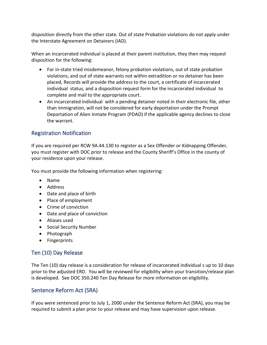disposition directly from the other state. Out of state Probation violations do not apply under the Interstate Agreement on Detainers (IAD).

When an incarcerated individual is placed at their parent institution, they then may request disposition for the following:

- For in-state tried misdemeanor, felony probation violations, out of state probation violations, and out of state warrants not within extradition or no detainer has been placed, Records will provide the address to the court, a certificate of incarcerated individual status, and a disposition request form for the incarcerated individual to complete and mail to the appropriate court.
- An incarcerated individual with a pending detainer noted in their electronic file, other than immigration, will not be considered for early deportation under the Prompt Deportation of Alien Inmate Program (PDAO) if the applicable agency declines to close the warrant.

# Registration Notification

If you are required per RCW 9A.44.130 to register as a Sex Offender or Kidnapping Offender, you must register with DOC prior to release and the County Sheriff's Office in the county of your residence upon your release.

You must provide the following information when registering:

- Name
- Address
- Date and place of birth
- Place of employment
- Crime of conviction
- Date and place of conviction
- Aliases used
- Social Security Number
- Photograph
- Fingerprints

# Ten (10) Day Release

The Ten (10) day release is a consideration for release of incarcerated individual s up to 10 days prior to the adjusted ERD. You will be reviewed for eligibility when your transition/release plan is developed. See DOC 350.240 Ten Day Release for more information on eligibility.

# Sentence Reform Act (SRA)

If you were sentenced prior to July 1, 2000 under the Sentence Reform Act (SRA), you may be required to submit a plan prior to your release and may have supervision upon release.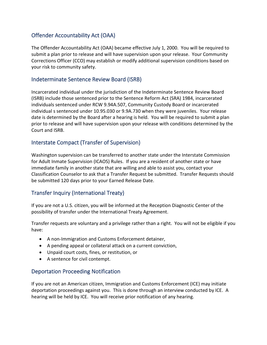# Offender Accountability Act (OAA)

The Offender Accountability Act (OAA) became effective July 1, 2000. You will be required to submit a plan prior to release and will have supervision upon your release. Your Community Corrections Officer (CCO) may establish or modify additional supervision conditions based on your risk to community safety.

# Indeterminate Sentence Review Board (ISRB)

Incarcerated individual under the jurisdiction of the Indeterminate Sentence Review Board (ISRB) include those sentenced prior to the Sentence Reform Act (SRA) 1984, incarcerated individuals sentenced under RCW 9.94A.507, Community Custody Board or incarcerated individual s sentenced under 10.95.030 or 9.9A.730 when they were juveniles. Your release date is determined by the Board after a hearing is held. You will be required to submit a plan prior to release and will have supervision upon your release with conditions determined by the Court and ISRB.

# Interstate Compact (Transfer of Supervision)

Washington supervision can be transferred to another state under the Interstate Commission for Adult Inmate Supervision (ICAOS) Rules. If you are a resident of another state or have immediate family in another state that are willing and able to assist you, contact your Classification Counselor to ask that a Transfer Request be submitted. Transfer Requests should be submitted 120 days prior to your Earned Release Date.

# Transfer Inquiry (International Treaty)

If you are not a U.S. citizen, you will be informed at the Reception Diagnostic Center of the possibility of transfer under the International Treaty Agreement.

Transfer requests are voluntary and a privilege rather than a right. You will not be eligible if you have:

- A non-Immigration and Customs Enforcement detainer,
- A pending appeal or collateral attack on a current conviction,
- Unpaid court costs, fines, or restitution, or
- A sentence for civil contempt.

# Deportation Proceeding Notification

If you are not an American citizen, Immigration and Customs Enforcement (ICE) may initiate deportation proceedings against you. This is done through an interview conducted by ICE. A hearing will be held by ICE. You will receive prior notification of any hearing.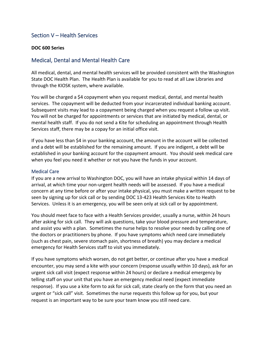# Section V – Health Services

#### **DOC 600 Series**

# Medical, Dental and Mental Health Care

All medical, dental, and mental health services will be provided consistent with the Washington State DOC Health Plan. The Health Plan is available for you to read at all Law Libraries and through the KIOSK system, where available.

You will be charged a \$4 copayment when you request medical, dental, and mental health services. The copayment will be deducted from your incarcerated individual banking account. Subsequent visits may lead to a copayment being charged when you request a follow up visit. You will not be charged for appointments or services that are initiated by medical, dental, or mental health staff. If you do not send a Kite for scheduling an appointment through Health Services staff, there may be a copay for an initial office visit.

If you have less than \$4 in your banking account, the amount in the account will be collected and a debt will be established for the remaining amount. If you are indigent, a debt will be established in your banking account for the copayment amount. You should seek medical care when you feel you need it whether or not you have the funds in your account.

#### Medical Care

If you are a new arrival to Washington DOC, you will have an intake physical within 14 days of arrival, at which time your non-urgent health needs will be assessed. If you have a medical concern at any time before or after your intake physical, you must make a written request to be seen by signing up for sick call or by sending DOC 13-423 Health Services Kite to Health Services. Unless it is an emergency, you will be seen only at sick call or by appointment.

You should meet face to face with a Health Services provider, usually a nurse, within 24 hours after asking for sick call. They will ask questions, take your blood pressure and temperature, and assist you with a plan. Sometimes the nurse helps to resolve your needs by calling one of the doctors or practitioners by phone. If you have symptoms which need care immediately (such as chest pain, severe stomach pain, shortness of breath) you may declare a medical emergency for Health Services staff to visit you immediately.

If you have symptoms which worsen, do not get better, or continue after you have a medical encounter, you may send a kite with your concern (response usually within 10 days), ask for an urgent sick call visit (expect response within 24 hours) or declare a medical emergency by telling staff on your unit that you have an emergency medical need (expect immediate response). If you use a kite form to ask for sick call, state clearly on the form that you need an urgent or "sick call" visit. Sometimes the nurse requests this follow up for you, but your request is an important way to be sure your team know you still need care.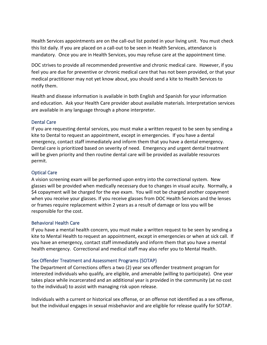Health Services appointments are on the call-out list posted in your living unit. You must check this list daily. If you are placed on a call-out to be seen in Health Services, attendance is mandatory. Once you are in Health Services, you may refuse care at the appointment time.

DOC strives to provide all recommended preventive and chronic medical care. However, if you feel you are due for preventive or chronic medical care that has not been provided, or that your medical practitioner may not yet know about, you should send a kite to Health Services to notify them.

Health and disease information is available in both English and Spanish for your information and education. Ask your Health Care provider about available materials. Interpretation services are available in any language through a phone interpreter.

### Dental Care

If you are requesting dental services, you must make a written request to be seen by sending a kite to Dental to request an appointment, except in emergencies. If you have a dental emergency, contact staff immediately and inform them that you have a dental emergency. Dental care is prioritized based on severity of need. Emergency and urgent dental treatment will be given priority and then routine dental care will be provided as available resources permit.

#### Optical Care

A vision screening exam will be performed upon entry into the correctional system. New glasses will be provided when medically necessary due to changes in visual acuity. Normally, a \$4 copayment will be charged for the eye exam. You will not be charged another copayment when you receive your glasses. If you receive glasses from DOC Health Services and the lenses or frames require replacement within 2 years as a result of damage or loss you will be responsible for the cost.

#### Behavioral Health Care

If you have a mental health concern, you must make a written request to be seen by sending a kite to Mental Health to request an appointment, except in emergencies or when at sick call. If you have an emergency, contact staff immediately and inform them that you have a mental health emergency. Correctional and medical staff may also refer you to Mental Health.

### Sex Offender Treatment and Assessment Programs (SOTAP)

The Department of Corrections offers a two (2) year sex offender treatment program for interested individuals who qualify, are eligible, and amenable (willing to participate). One year takes place while incarcerated and an additional year is provided in the community (at no cost to the individual) to assist with managing risk upon release.

Individuals with a current or historical sex offense, or an offense not identified as a sex offense, but the individual engages in sexual misbehavior and are eligible for release qualify for SOTAP.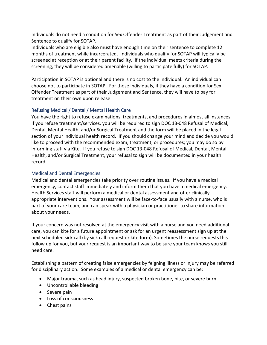Individuals do not need a condition for Sex Offender Treatment as part of their Judgement and Sentence to qualify for SOTAP.

Individuals who are eligible also must have enough time on their sentence to complete 12 months of treatment while incarcerated. Individuals who qualify for SOTAP will typically be screened at reception or at their parent facility. If the individual meets criteria during the screening, they will be considered amenable (willing to participate fully) for SOTAP.

Participation in SOTAP is optional and there is no cost to the individual. An individual can choose not to participate in SOTAP. For those individuals, if they have a condition for Sex Offender Treatment as part of their Judgement and Sentence, they will have to pay for treatment on their own upon release.

# Refusing Medical / Dental / Mental Health Care

You have the right to refuse examinations, treatments, and procedures in almost all instances. If you refuse treatment/services, you will be required to sign DOC 13-048 Refusal of Medical, Dental, Mental Health, and/or Surgical Treatment and the form will be placed in the legal section of your individual health record. If you should change your mind and decide you would like to proceed with the recommended exam, treatment, or procedures; you may do so by informing staff via Kite. If you refuse to sign DOC 13-048 Refusal of Medical, Dental, Mental Health, and/or Surgical Treatment, your refusal to sign will be documented in your health record.

### Medical and Dental Emergencies

Medical and dental emergencies take priority over routine issues. If you have a medical emergency, contact staff immediately and inform them that you have a medical emergency. Health Services staff will perform a medical or dental assessment and offer clinically appropriate interventions. Your assessment will be face-to-face usually with a nurse, who is part of your care team, and can speak with a physician or practitioner to share information about your needs.

If your concern was not resolved at the emergency visit with a nurse and you need additional care, you can kite for a future appointment or ask for an urgent reassessment sign up at the next scheduled sick call (by sick call request or kite form). Sometimes the nurse requests this follow up for you, but your request is an important way to be sure your team knows you still need care.

Establishing a pattern of creating false emergencies by feigning illness or injury may be referred for disciplinary action. Some examples of a medical or dental emergency can be:

- Major trauma, such as head injury, suspected broken bone, bite, or severe burn
- Uncontrollable bleeding
- Severe pain
- Loss of consciousness
- Chest pains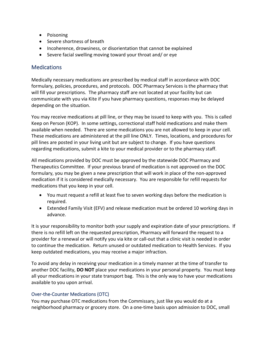- Poisoning
- Severe shortness of breath
- Incoherence, drowsiness, or disorientation that cannot be explained
- Severe facial swelling moving toward your throat and/ or eye

# **Medications**

Medically necessary medications are prescribed by medical staff in accordance with DOC formulary, policies, procedures, and protocols. DOC Pharmacy Services is the pharmacy that will fill your prescriptions. The pharmacy staff are not located at your facility but can communicate with you via Kite if you have pharmacy questions, responses may be delayed depending on the situation.

You may receive medications at pill line, or they may be issued to keep with you. This is called Keep on Person (KOP). In some settings, correctional staff hold medications and make them available when needed. There are some medications you are not allowed to keep in your cell. These medications are administered at the pill line ONLY. Times, locations, and procedures for pill lines are posted in your living unit but are subject to change. If you have questions regarding medications, submit a kite to your medical provider or to the pharmacy staff.

All medications provided by DOC must be approved by the statewide DOC Pharmacy and Therapeutics Committee. If your previous brand of medication is not approved on the DOC formulary, you may be given a new prescription that will work in place of the non-approved medication if it is considered medically necessary. You are responsible for refill requests for medications that you keep in your cell.

- You must request a refill at least five to seven working days before the medication is required.
- Extended Family Visit (EFV) and release medication must be ordered 10 working days in advance.

It is your responsibility to monitor both your supply and expiration date of your prescriptions. If there is no refill left on the requested prescription, Pharmacy will forward the request to a provider for a renewal or will notify you via kite or call-out that a clinic visit is needed in order to continue the medication. Return unused or outdated medication to Health Services. If you keep outdated medications, you may receive a major infraction.

To avoid any delay in receiving your medication in a timely manner at the time of transfer to another DOC facility, **DO NOT** place your medications in your personal property. You must keep all your medications in your state transport bag. This is the only way to have your medications available to you upon arrival.

# Over-the-Counter Medications (OTC)

You may purchase OTC medications from the Commissary, just like you would do at a neighborhood pharmacy or grocery store. On a one-time basis upon admission to DOC, small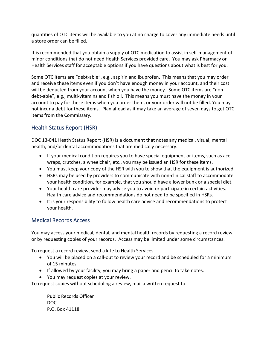quantities of OTC items will be available to you at no charge to cover any immediate needs until a store order can be filled.

It is recommended that you obtain a supply of OTC medication to assist in self-management of minor conditions that do not need Health Services provided care. You may ask Pharmacy or Health Services staff for acceptable options if you have questions about what is best for you.

Some OTC items are "debt-able", e.g., aspirin and ibuprofen. This means that you may order and receive these items even if you don't have enough money in your account, and their cost will be deducted from your account when you have the money. Some OTC items are "nondebt-able", e.g., multi-vitamins and fish oil. This means you must have the money in your account to pay for these items when you order them, or your order will not be filled. You may not incur a debt for these items. Plan ahead as it may take an average of seven days to get OTC items from the Commissary.

# Health Status Report (HSR)

DOC 13-041 Heath Status Report (HSR) is a document that notes any medical, visual, mental health, and/or dental accommodations that are medically necessary.

- If your medical condition requires you to have special equipment or items, such as ace wraps, crutches, a wheelchair, etc., you may be issued an HSR for these items.
- You must keep your copy of the HSR with you to show that the equipment is authorized.
- HSRs may be used by providers to communicate with non-clinical staff to accommodate your health condition, for example, that you should have a lower bunk or a special diet.
- Your health care provider may advise you to avoid or participate in certain activities. Health care advice and recommendations do not need to be specified in HSRs.
- It is your responsibility to follow health care advice and recommendations to protect your health.

# Medical Records Access

You may access your medical, dental, and mental health records by requesting a record review or by requesting copies of your records. Access may be limited under some circumstances.

To request a record review, send a kite to Health Services.

- You will be placed on a call-out to review your record and be scheduled for a minimum of 15 minutes.
- If allowed by your facility, you may bring a paper and pencil to take notes.
- You may request copies at your review.

To request copies without scheduling a review, mail a written request to:

Public Records Officer DOC P.O. Box 41118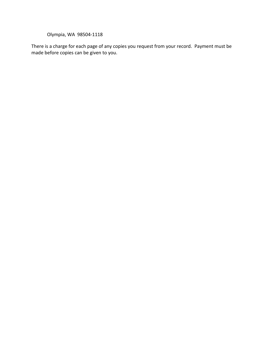Olympia, WA 98504-1118

There is a charge for each page of any copies you request from your record. Payment must be made before copies can be given to you.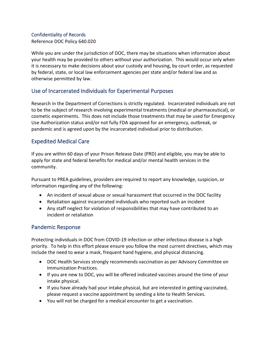#### Confidentiality of Records

Reference DOC Policy 640.020

While you are under the jurisdiction of DOC, there may be situations when information about your health may be provided to others without your authorization. This would occur only when it is necessary to make decisions about your custody and housing, by court order, as requested by federal, state, or local law enforcement agencies per state and/or federal law and as otherwise permitted by law.

# Use of Incarcerated Individuals for Experimental Purposes

Research in the Department of Corrections is strictly regulated. Incarcerated individuals are not to be the subject of research involving experimental treatments (medical or pharmaceutical), or cosmetic experiments. This does not include those treatments that may be used for Emergency Use Authorization status and/or not fully FDA approved for an emergency, outbreak, or pandemic and is agreed upon by the incarcerated individual prior to distribution.

# Expedited Medical Care

If you are within 60 days of your Prison Release Date (PRD) and eligible, you may be able to apply for state and federal benefits for medical and/or mental health services in the community.

Pursuant to PREA guidelines, providers are required to report any knowledge, suspicion, or information regarding any of the following:

- An incident of sexual abuse or sexual harassment that occurred in the DOC facility
- Retaliation against incarcerated individuals who reported such an incident
- Any staff neglect for violation of responsibilities that may have contributed to an incident or retaliation

# Pandemic Response

Protecting individuals in DOC from COVID-19 infection or other infectious disease is a high priority. To help in this effort please ensure you follow the most current directives, which may include the need to wear a mask, frequent hand hygiene, and physical distancing.

- DOC Health Services strongly recommends vaccination as per Advisory Committee on Immunization Practices.
- If you are new to DOC, you will be offered indicated vaccines around the time of your intake physical.
- If you have already had your intake physical, but are interested in getting vaccinated, please request a vaccine appointment by sending a kite to Health Services.
- You will not be charged for a medical encounter to get a vaccination.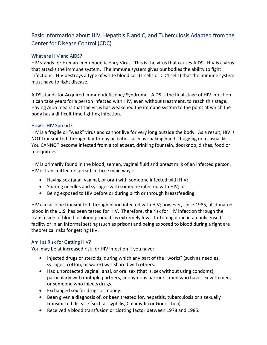# Basic Information about HIV, Hepatitis B and C, and Tuberculosis Adapted from the Center for Disease Control (CDC)

### What are HIV and AIDS?

HIV stands for Human Immunodeficiency Virus. This is the virus that causes AIDS. HIV is a virus that attacks the immune system. The immune system gives our bodies the ability to fight infections. HIV destroys a type of white blood cell (T cells or CD4 cells) that the immune system must have to fight disease.

AIDS stands for Acquired Immunodeficiency Syndrome. AIDS is the final stage of HIV infection. It can take years for a person infected with HIV, even without treatment, to reach this stage. Having AIDS means that the virus has weakened the immune system to the point at which the body has a difficult time fighting infection.

#### How is HIV Spread?

HIV is a fragile or "weak" virus and cannot live for very long outside the body. As a result, HIV is NOT transmitted through day-to-day activities such as shaking hands, hugging or a casual kiss. You CANNOT become infected from a toilet seat, drinking fountain, doorknob, dishes, food or mosquitoes.

HIV is primarily found in the blood, semen, vaginal fluid and breast milk of an infected person. HIV is transmitted or spread in three main ways:

- Having sex (anal, vaginal, or oral) with someone infected with HIV;
- Sharing needles and syringes with someone infected with HIV; or
- Being exposed to HIV before or during birth or through breastfeeding.

HIV can also be transmitted through blood infected with HIV; however, since 1985, all donated blood in the U.S. has been tested for HIV. Therefore, the risk for HIV infection through the transfusion of blood or blood products is extremely low. Tattooing done in an unlicensed facility or in an informal setting (such as prison) and being exposed to blood during a fight are theoretical risks for getting HIV.

### Am I at Risk for Getting HIV?

You may be at increased risk for HIV infection if you have:

- Injected drugs or steroids, during which any part of the "works" (such as needles, syringes, cotton, or water) was shared with others.
- Had unprotected vaginal, anal, or oral sex (that is, sex without using condoms), particularly with multiple partners, anonymous partners, men who have sex with men, or someone who injects drugs.
- Exchanged sex for drugs or money.
- Been given a diagnosis of, or been treated for, hepatitis, tuberculosis or a sexually transmitted disease (such as syphilis, Chlamydia or Gonorrhea).
- Received a blood transfusion or clotting factor between 1978 and 1985.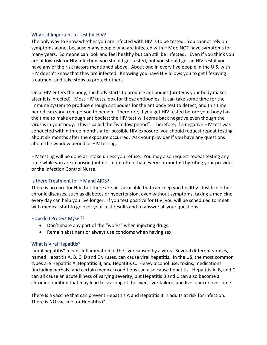#### Why is it Important to Test for HIV?

The only way to know whether you are infected with HIV is to be tested. You cannot rely on symptoms alone, because many people who are infected with HIV do NOT have symptoms for many years. Someone can look and feel healthy but can still be infected. Even if you think you are at low risk for HIV infection, you should get tested, but you should get an HIV test if you have any of the risk factors mentioned above. About one in every five people in the U.S. with HIV doesn't know that they are infected. Knowing you have HIV allows you to get lifesaving treatment and take steps to protect others.

Once HIV enters the body, the body starts to produce antibodies (proteins your body makes after it is infected). Most HIV tests look for these antibodies. It can take some time for the immune system to produce enough antibodies for the antibody test to detect, and this time period can vary from person to person. Therefore, if you get HIV tested before your body has the time to make enough antibodies; the HIV test will come back negative even though the virus is in your body. This is called the "window period". Therefore, if a negative HIV test was conducted within three months after possible HIV exposure, you should request repeat testing about six months after the exposure occurred. Ask your provider if you have any questions about the window period or HIV testing.

HIV testing will be done at intake unless you refuse. You may also request repeat testing any time while you are in prison (but not more often than every six months) by kiting your provider or the Infection Control Nurse.

#### Is there Treatment for HIV and AIDS?

There is no cure for HIV, but there are pills available that can keep you healthy. Just like other chronic diseases, such as diabetes or hypertension, even without symptoms, taking a medicine every day can help you live longer. If you test positive for HIV, you will be scheduled to meet with medical staff to go over your test results and to answer all your questions.

#### How do I Protect Myself?

- Don't share any part of the "works" when injecting drugs.
- Remain abstinent or always use condoms when having sex.

#### What is Viral Hepatitis?

"Viral hepatitis" means inflammation of the liver caused by a virus. Several different viruses, named Hepatitis A, B, C, D and E viruses, can cause viral hepatitis. In the US, the most common types are Hepatitis A, Hepatitis B, and Hepatitis C. Heavy alcohol use, toxins, medications (including herbals) and certain medical conditions can also cause hepatitis. Hepatitis A, B, and C can all cause an acute illness of varying severity, but Hepatitis B and C can also become a chronic condition that may lead to scarring of the liver, liver failure, and liver cancer over time.

There is a vaccine that can prevent Hepatitis A and Hepatitis B in adults at risk for infection. There is NO vaccine for Hepatitis C.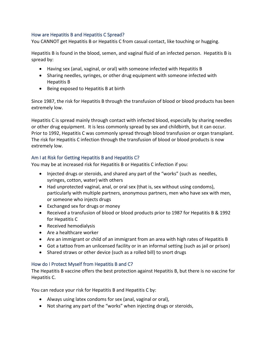### How are Hepatitis B and Hepatitis C Spread?

You CANNOT get Hepatitis B or Hepatitis C from casual contact, like touching or hugging.

Hepatitis B is found in the blood, semen, and vaginal fluid of an infected person. Hepatitis B is spread by:

- Having sex (anal, vaginal, or oral) with someone infected with Hepatitis B
- Sharing needles, syringes, or other drug equipment with someone infected with Hepatitis B
- Being exposed to Hepatitis B at birth

Since 1987, the risk for Hepatitis B through the transfusion of blood or blood products has been extremely low.

Hepatitis C is spread mainly through contact with infected blood, especially by sharing needles or other drug equipment. It is less commonly spread by sex and childbirth, but it can occur. Prior to 1992, Hepatitis C was commonly spread through blood transfusion or organ transplant. The risk for Hepatitis C infection through the transfusion of blood or blood products is now extremely low.

### Am I at Risk for Getting Hepatitis B and Hepatitis C?

You may be at increased risk for Hepatitis B or Hepatitis C infection if you:

- Injected drugs or steroids, and shared any part of the "works" (such as needles, syringes, cotton, water) with others
- Had unprotected vaginal, anal, or oral sex (that is, sex without using condoms), particularly with multiple partners, anonymous partners, men who have sex with men, or someone who injects drugs
- Exchanged sex for drugs or money
- Received a transfusion of blood or blood products prior to 1987 for Hepatitis B & 1992 for Hepatitis C
- Received hemodialysis
- Are a healthcare worker
- Are an immigrant or child of an immigrant from an area with high rates of Hepatitis B
- Got a tattoo from an unlicensed facility or in an informal setting (such as jail or prison)
- Shared straws or other device (such as a rolled bill) to snort drugs

### How do I Protect Myself from Hepatitis B and C?

The Hepatitis B vaccine offers the best protection against Hepatitis B, but there is no vaccine for Hepatitis C.

You can reduce your risk for Hepatitis B and Hepatitis C by:

- Always using latex condoms for sex (anal, vaginal or oral),
- Not sharing any part of the "works" when injecting drugs or steroids,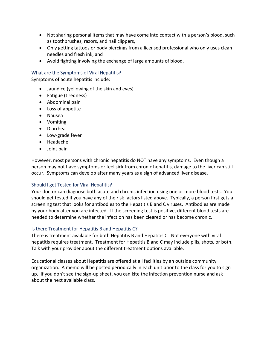- Not sharing personal items that may have come into contact with a person's blood, such as toothbrushes, razors, and nail clippers,
- Only getting tattoos or body piercings from a licensed professional who only uses clean needles and fresh ink, and
- Avoid fighting involving the exchange of large amounts of blood.

### What are the Symptoms of Viral Hepatitis?

Symptoms of acute hepatitis include:

- Jaundice (yellowing of the skin and eyes)
- Fatigue (tiredness)
- Abdominal pain
- Loss of appetite
- Nausea
- Vomiting
- Diarrhea
- Low-grade fever
- Headache
- Joint pain

However, most persons with chronic hepatitis do NOT have any symptoms. Even though a person may not have symptoms or feel sick from chronic hepatitis, damage to the liver can still occur. Symptoms can develop after many years as a sign of advanced liver disease.

### Should I get Tested for Viral Hepatitis?

Your doctor can diagnose both acute and chronic infection using one or more blood tests. You should get tested if you have any of the risk factors listed above. Typically, a person first gets a screening test that looks for antibodies to the Hepatitis B and C viruses. Antibodies are made by your body after you are infected. If the screening test is positive, different blood tests are needed to determine whether the infection has been cleared or has become chronic.

### Is there Treatment for Hepatitis B and Hepatitis C?

There is treatment available for both Hepatitis B and Hepatitis C. Not everyone with viral hepatitis requires treatment. Treatment for Hepatitis B and C may include pills, shots, or both. Talk with your provider about the different treatment options available.

Educational classes about Hepatitis are offered at all facilities by an outside community organization. A memo will be posted periodically in each unit prior to the class for you to sign up. If you don't see the sign-up sheet, you can kite the infection prevention nurse and ask about the next available class.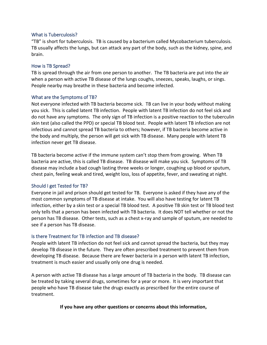#### What is Tuberculosis?

"TB" is short for tuberculosis. TB is caused by a bacterium called Mycobacterium tuberculosis. TB usually affects the lungs, but can attack any part of the body, such as the kidney, spine, and brain.

#### How is TB Spread?

TB is spread through the air from one person to another. The TB bacteria are put into the air when a person with active TB disease of the lungs coughs, sneezes, speaks, laughs, or sings. People nearby may breathe in these bacteria and become infected.

#### What are the Symptoms of TB?

Not everyone infected with TB bacteria become sick. TB can live in your body without making you sick. This is called latent TB infection. People with latent TB infection do not feel sick and do not have any symptoms. The only sign of TB infection is a positive reaction to the tuberculin skin test (also called the PPD) or special TB blood test. People with latent TB infection are not infectious and cannot spread TB bacteria to others; however, if TB bacteria become active in the body and multiply, the person will get sick with TB disease. Many people with latent TB infection never get TB disease.

TB bacteria become active if the immune system can't stop them from growing. When TB bacteria are active, this is called TB disease. TB disease will make you sick. Symptoms of TB disease may include a bad cough lasting three weeks or longer, coughing up blood or sputum, chest pain, feeling weak and tired, weight loss, loss of appetite, fever, and sweating at night.

#### Should I get Tested for TB?

Everyone in jail and prison should get tested for TB. Everyone is asked if they have any of the most common symptoms of TB disease at intake. You will also have testing for latent TB infection, either by a skin test or a special TB blood test. A positive TB skin test or TB blood test only tells that a person has been infected with TB bacteria. It does NOT tell whether or not the person has TB disease. Other tests, such as a chest x-ray and sample of sputum, are needed to see if a person has TB disease.

#### Is there Treatment for TB infection and TB disease?

People with latent TB infection do not feel sick and cannot spread the bacteria, but they may develop TB disease in the future. They are often prescribed treatment to prevent them from developing TB disease. Because there are fewer bacteria in a person with latent TB infection, treatment is much easier and usually only one drug is needed.

A person with active TB disease has a large amount of TB bacteria in the body. TB disease can be treated by taking several drugs, sometimes for a year or more. It is very important that people who have TB disease take the drugs exactly as prescribed for the entire course of treatment.

#### **If you have any other questions or concerns about this information,**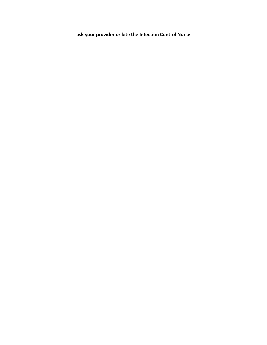**ask your provider or kite the Infection Control Nurse**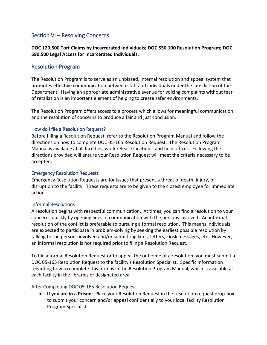## Section VI – Resolving Concerns

**DOC 120.500 Tort Claims by Incarcerated Individuals; DOC 550.100 Resolution Program; DOC 590.500 Legal Access for Incarcerated Individuals.** 

### Resolution Program

The Resolution Program is to serve as an unbiased, internal resolution and appeal system that promotes effective communication between staff and individuals under the jurisdiction of the Department. Having an appropriate administrative avenue for voicing complaints without fear of retaliation is an important element of helping to create safer environments.

The Resolution Program offers access to a process which allows for meaningful communication and the resolution of concerns to produce a fair and just conclusion.

#### How do I file a Resolution Request?

Before filling a Resolution Request, refer to the Resolution Program Manual and follow the directions on how to complete DOC 05-165 Resolution Request. The Resolution Program Manual is available at all facilities, work release locations, and field offices. Following the directions provided will ensure your Resolution Request will meet the criteria necessary to be accepted.

#### Emergency Resolution Requests

Emergency Resolution Requests are for issues that present a threat of death, injury, or disruption to the facility. These requests are to be given to the closest employee for immediate action.

#### Informal Resolutions

A resolution begins with respectful communication. At times, you can find a resolution to your concerns quickly by opening lines of communication with the persons involved. An informal resolution of the conflict is preferable to pursuing a formal resolution. This means individuals are expected to participate in problem-solving by seeking the earliest possible resolution by talking to the persons involved and/or submitting kites, letters, kiosk messages, etc. However, an informal resolution is not required prior to filing a Resolution Request.

To file a formal Resolution Request or to appeal the outcome of a resolution, you must submit a DOC 05-165 Resolution Request to the facility's Resolution Specialist. Specific information regarding how to complete this form is in the Resolution Program Manual, which is available at each facility in the libraries or designated area.

### After Completing DOC 05-165 Resolution Request

• **If you are in a Prison**: Place your Resolution Request in the resolution request drop-box to submit your concern and/or appeal confidentially to your local facility Resolution Program Specialist.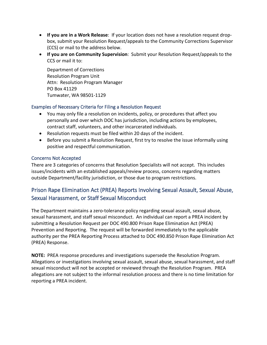- **If you are in a Work Release**: If your location does not have a resolution request dropbox, submit your Resolution Request/appeals to the Community Corrections Supervisor (CCS) or mail to the address below.
- **If you are on Community Supervision**: Submit your Resolution Request/appeals to the CCS or mail it to:

Department of Corrections Resolution Program Unit Attn: Resolution Program Manager PO Box 41129 Tumwater, WA 98501-1129

### Examples of Necessary Criteria for Filing a Resolution Request

- You may only file a resolution on incidents, policy, or procedures that affect you personally and over which DOC has jurisdiction, including actions by employees, contract staff, volunteers, and other incarcerated individuals.
- Resolution requests must be filed within 20 days of the incident.
- Before you submit a Resolution Request, first try to resolve the issue informally using positive and respectful communication.

### Concerns Not Accepted

There are 3 categories of concerns that Resolution Specialists will not accept. This includes issues/incidents with an established appeals/review process, concerns regarding matters outside Department/facility jurisdiction, or those due to program restrictions.

# Prison Rape Elimination Act (PREA) Reports Involving Sexual Assault, Sexual Abuse, Sexual Harassment, or Staff Sexual Misconduct

The Department maintains a zero-tolerance policy regarding sexual assault, sexual abuse, sexual harassment, and staff sexual misconduct. An individual can report a PREA incident by submitting a Resolution Request per DOC 490.800 Prison Rape Elimination Act (PREA) Prevention and Reporting. The request will be forwarded immediately to the applicable authority per the PREA Reporting Process attached to DOC 490.850 Prison Rape Elimination Act (PREA) Response.

**NOTE:** PREA response procedures and investigations supersede the Resolution Program. Allegations or investigations involving sexual assault, sexual abuse, sexual harassment, and staff sexual misconduct will not be accepted or reviewed through the Resolution Program. PREA allegations are not subject to the informal resolution process and there is no time limitation for reporting a PREA incident.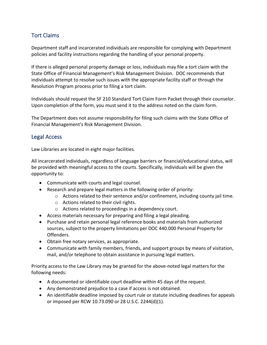## Tort Claims

Department staff and incarcerated individuals are responsible for complying with Department policies and facility instructions regarding the handling of your personal property.

If there is alleged personal property damage or loss, individuals may file a tort claim with the State Office of Financial Management's Risk Management Division. DOC recommends that individuals attempt to resolve such issues with the appropriate facility staff or through the Resolution Program process prior to filing a tort claim.

Individuals should request the SF 210 Standard Tort Claim Form Packet through their counselor. Upon completion of the form, you must send it to the address noted on the claim form.

The Department does not assume responsibility for filing such claims with the State Office of Financial Management's Risk Management Division.

### Legal Access

Law Libraries are located in eight major facilities.

All incarcerated individuals, regardless of language barriers or financial/educational status, will be provided with meaningful access to the courts. Specifically, individuals will be given the opportunity to:

- Communicate with courts and legal counsel.
- Research and prepare legal matters in the following order of priority:
	- o Actions related to their sentence and/or confinement, including county jail time.
	- o Actions related to their civil rights.
	- o Actions related to proceedings in a dependency court.
- Access materials necessary for preparing and filing a legal pleading.
- Purchase and retain personal legal reference books and materials from authorized sources, subject to the property limitations per DOC 440.000 Personal Property for Offenders.
- Obtain free notary services, as appropriate.
- Communicate with family members, friends, and support groups by means of visitation, mail, and/or telephone to obtain assistance in pursuing legal matters.

Priority access to the Law Library may be granted for the above-noted legal matters for the following needs:

- A documented or identifiable court deadline within 45 days of the request.
- Any demonstrated prejudice to a case if access is not obtained.
- An identifiable deadline imposed by court rule or statute including deadlines for appeals or imposed per RCW 10.73.090 or 28 U.S.C. 2244(d)(1).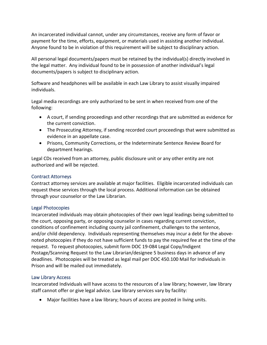An incarcerated individual cannot, under any circumstances, receive any form of favor or payment for the time, efforts, equipment, or materials used in assisting another individual. Anyone found to be in violation of this requirement will be subject to disciplinary action.

All personal legal documents/papers must be retained by the individual(s) directly involved in the legal matter. Any individual found to be in possession of another individual's legal documents/papers is subject to disciplinary action.

Software and headphones will be available in each Law Library to assist visually impaired individuals.

Legal media recordings are only authorized to be sent in when received from one of the following:

- A court, if sending proceedings and other recordings that are submitted as evidence for the current conviction.
- The Prosecuting Attorney, if sending recorded court proceedings that were submitted as evidence in an appellate case.
- Prisons, Community Corrections, or the Indeterminate Sentence Review Board for department hearings.

Legal CDs received from an attorney, public disclosure unit or any other entity are not authorized and will be rejected.

### Contract Attorneys

Contract attorney services are available at major facilities. Eligible incarcerated individuals can request these services through the local process. Additional information can be obtained through your counselor or the Law Librarian.

### Legal Photocopies

Incarcerated individuals may obtain photocopies of their own legal leadings being submitted to the court, opposing party, or opposing counselor in cases regarding current conviction, conditions of confinement including county jail confinement, challenges to the sentence, and/or child dependency. Individuals representing themselves may incur a debt for the abovenoted photocopies if they do not have sufficient funds to pay the required fee at the time of the request. To request photocopies, submit form DOC 19-084 Legal Copy/Indigent Postage/Scanning Request to the Law Librarian/designee 5 business days in advance of any deadlines. Photocopies will be treated as legal mail per DOC 450.100 Mail for Individuals in Prison and will be mailed out immediately.

### Law Library Access

Incarcerated Individuals will have access to the resources of a law library; however, law library staff cannot offer or give legal advice. Law library services vary by facility:

• Major facilities have a law library; hours of access are posted in living units.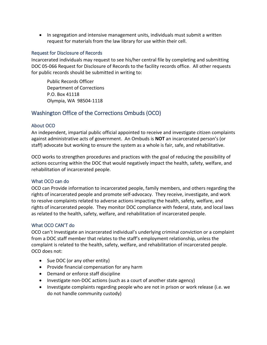• In segregation and intensive management units, individuals must submit a written request for materials from the law library for use within their cell.

### Request for Disclosure of Records

Incarcerated individuals may request to see his/her central file by completing and submitting DOC 05-066 Request for Disclosure of Records to the facility records office. All other requests for public records should be submitted in writing to:

Public Records Officer Department of Corrections P.O. Box 41118 Olympia, WA 98504-1118

# Washington Office of the Corrections Ombuds (OCO)

### About OCO

An independent, impartial public official appointed to receive and investigate citizen complaints against administrative acts of government. An Ombuds is **NOT** an incarcerated person's (or staff) advocate but working to ensure the system as a whole is fair, safe, and rehabilitative.

OCO works to strengthen procedures and practices with the goal of reducing the possibility of actions occurring within the DOC that would negatively impact the health, safety, welfare, and rehabilitation of incarcerated people.

### What OCO can do

OCO can Provide information to incarcerated people, family members, and others regarding the rights of incarcerated people and promote self-advocacy. They receive, investigate, and work to resolve complaints related to adverse actions impacting the health, safety, welfare, and rights of incarcerated people. They monitor DOC compliance with federal, state, and local laws as related to the health, safety, welfare, and rehabilitation of incarcerated people.

### What OCO CAN'T do

OCO can't Investigate an incarcerated individual's underlying criminal conviction or a complaint from a DOC staff member that relates to the staff's employment relationship, unless the complaint is related to the health, safety, welfare, and rehabilitation of incarcerated people. OCO does not:

- Sue DOC (or any other entity)
- Provide financial compensation for any harm
- Demand or enforce staff discipline
- Investigate non-DOC actions (such as a court of another state agency)
- Investigate complaints regarding people who are not in prison or work release (i.e. we do not handle community custody)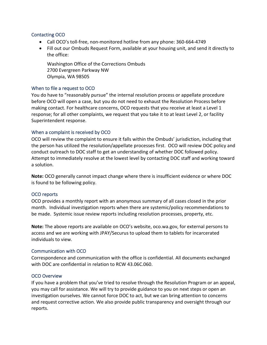#### Contacting OCO

- Call OCO's toll-free, non-monitored hotline from any phone: 360-664-4749
- Fill out our Ombuds Request Form, available at your housing unit, and send it directly to the office:

Washington Office of the Corrections Ombuds 2700 Evergreen Parkway NW Olympia, WA 98505

#### When to file a request to OCO

You do have to "reasonably pursue" the internal resolution process or appellate procedure before OCO will open a case, but you do not need to exhaust the Resolution Process before making contact. For healthcare concerns, OCO requests that you receive at least a Level 1 response; for all other complaints, we request that you take it to at least Level 2, or facility Superintendent response.

#### When a complaint is received by OCO

OCO will review the complaint to ensure it falls within the Ombuds' jurisdiction, including that the person has utilized the resolution/appellate processes first. OCO will review DOC policy and conduct outreach to DOC staff to get an understanding of whether DOC followed policy. Attempt to immediately resolve at the lowest level by contacting DOC staff and working toward a solution.

**Note:** OCO generally cannot impact change where there is insufficient evidence or where DOC is found to be following policy.

#### OCO reports

OCO provides a monthly report with an anonymous summary of all cases closed in the prior month. Individual investigation reports when there are systemic/policy recommendations to be made. Systemic issue review reports including resolution processes, property, etc.

**Note:** The above reports are available on OCO's website, oco.wa.gov, for external persons to access and we are working with JPAY/Securus to upload them to tablets for incarcerated individuals to view.

#### Communication with OCO

Correspondence and communication with the office is confidential. All documents exchanged with DOC are confidential in relation to RCW 43.06C.060.

#### OCO Overview

If you have a problem that you've tried to resolve through the Resolution Program or an appeal, you may call for assistance. We will try to provide guidance to you on next steps or open an investigation ourselves. We cannot force DOC to act, but we can bring attention to concerns and request corrective action. We also provide public transparency and oversight through our reports.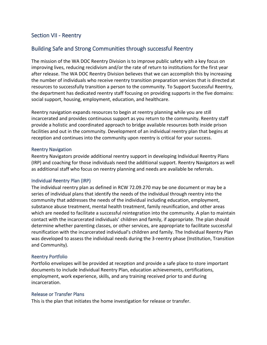## Section VII - Reentry

## Building Safe and Strong Communities through successful Reentry

The mission of the WA DOC Reentry Division is to improve public safety with a key focus on improving lives, reducing recidivism and/or the rate of return to institutions for the first year after release. The WA DOC Reentry Division believes that we can accomplish this by increasing the number of individuals who receive reentry transition preparation services that is directed at resources to successfully transition a person to the community. To Support Successful Reentry, the department has dedicated reentry staff focusing on providing supports in the five domains: social support, housing, employment, education, and healthcare.

Reentry navigation expands resources to begin at reentry planning while you are still incarcerated and provides continuous support as you return to the community. Reentry staff provide a holistic and coordinated approach to bridge available resources both inside prison facilities and out in the community. Development of an individual reentry plan that begins at reception and continues into the community upon reentry is critical for your success.

#### Reentry Navigation

Reentry Navigators provide additional reentry support in developing Individual Reentry Plans (IRP) and coaching for those individuals need the additional support. Reentry Navigators as well as additional staff who focus on reentry planning and needs are available be referrals.

#### Individual Reentry Plan (IRP)

The individual reentry plan as defined in RCW 72.09.270 may be one document or may be a series of individual plans that identify the needs of the individual through reentry into the community that addresses the needs of the individual including education, employment, substance abuse treatment, mental health treatment, family reunification, and other areas which are needed to facilitate a successful reintegration into the community. A plan to maintain contact with the incarcerated individuals' children and family, if appropriate. The plan should determine whether parenting classes, or other services, are appropriate to facilitate successful reunification with the incarcerated individual's children and family. The Individual Reentry Plan was developed to assess the individual needs during the 3-reentry phase (Institution, Transition and Community).

#### Reentry Portfolio

Portfolio envelopes will be provided at reception and provide a safe place to store important documents to include Individual Reentry Plan, education achievements, certifications, employment, work experience, skills, and any training received prior to and during incarceration.

#### Release or Transfer Plans

This is the plan that initiates the home investigation for release or transfer.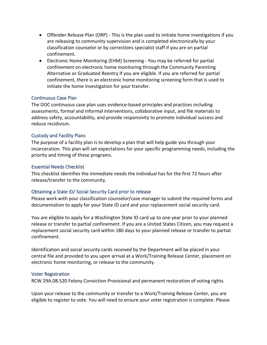- Offender Release Plan (ORP) This is the plan used to initiate home investigations if you are releasing to community supervision and is completed electronically by your classification counselor or by corrections specialist staff if you are on partial confinement.
- Electronic Home Monitoring (EHM) Screening You may be referred for partial confinement on electronic home monitoring through the Community Parenting Alternative or Graduated Reentry If you are eligible. If you are referred for partial confinement, there is an electronic home monitoring screening form that is used to initiate the home investigation for your transfer.

#### Continuous Case Plan

The DOC continuous case plan uses evidence-based principles and practices including assessments, formal and informal interventions, collaborative input, and file materials to address safety, accountability, and provide responsivity to promote individual success and reduce recidivism.

#### Custody and Facility Plans

The purpose of a facility plan is to develop a plan that will help guide you through your incarceration. This plan will set expectations for your specific programming needs, including the priority and timing of these programs.

#### Essential Needs Checklist

This checklist identifies the immediate needs the individual has for the first 72 hours after release/transfer to the community.

### Obtaining a State ID/ Social Security Card prior to release

Please work with your classification counselor/case manager to submit the required forms and documentation to apply for your State ID card and your replacement social security card.

You are eligible to apply for a Washington State ID card up to one year prior to your planned release or transfer to partial confinement. If you are a United States Citizen, you may request a replacement social security card within 180 days to your planned release or transfer to partial confinement.

Identification and social security cards received by the Department will be placed in your central file and provided to you upon arrival at a Work/Training Release Center, placement on electronic home monitoring, or release to the community.

#### Voter Registration

RCW 29A.08.520 Felony Conviction-Provisional and permanent restoration of voting rights.

Upon your release to the community or transfer to a Work/Training Release Center, you are eligible to register to vote. You will need to ensure your voter registration is complete. Please